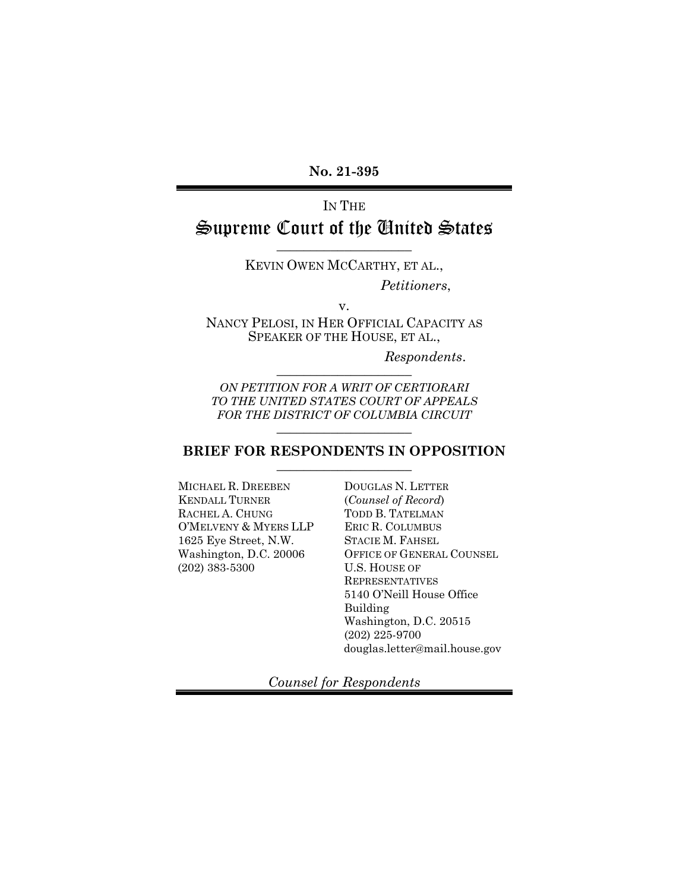**No. 21-395** 

# IN THE Supreme Court of the United States

KEVIN OWEN MCCARTHY, ET AL., *Petitioners*,

\_\_\_\_\_\_\_\_\_\_\_\_\_\_\_\_\_\_\_\_

v. NANCY PELOSI, IN HER OFFICIAL CAPACITY AS SPEAKER OF THE HOUSE, ET AL.,

> *Respondents*. \_\_\_\_\_\_\_\_\_\_\_\_\_\_\_\_\_\_\_\_

*ON PETITION FOR A WRIT OF CERTIORARI TO THE UNITED STATES COURT OF APPEALS FOR THE DISTRICT OF COLUMBIA CIRCUIT* \_\_\_\_\_\_\_\_\_\_\_\_\_\_\_\_\_\_\_\_

#### **BRIEF FOR RESPONDENTS IN OPPOSITION**  \_\_\_\_\_\_\_\_\_\_\_\_\_\_\_\_\_\_\_\_

MICHAEL R. DREEBEN KENDALL TURNER RACHEL A. CHUNG O'MELVENY & MYERS LLP 1625 Eye Street, N.W. Washington, D.C. 20006 (202) 383-5300

DOUGLAS N. LETTER (*Counsel of Record*) TODD B. TATELMAN ERIC R. COLUMBUS STACIE M. FAHSEL OFFICE OF GENERAL COUNSEL U.S. HOUSE OF REPRESENTATIVES 5140 O'Neill House Office Building Washington, D.C. 20515 (202) 225-9700 douglas.letter@mail.house.gov

*Counsel for Respondents*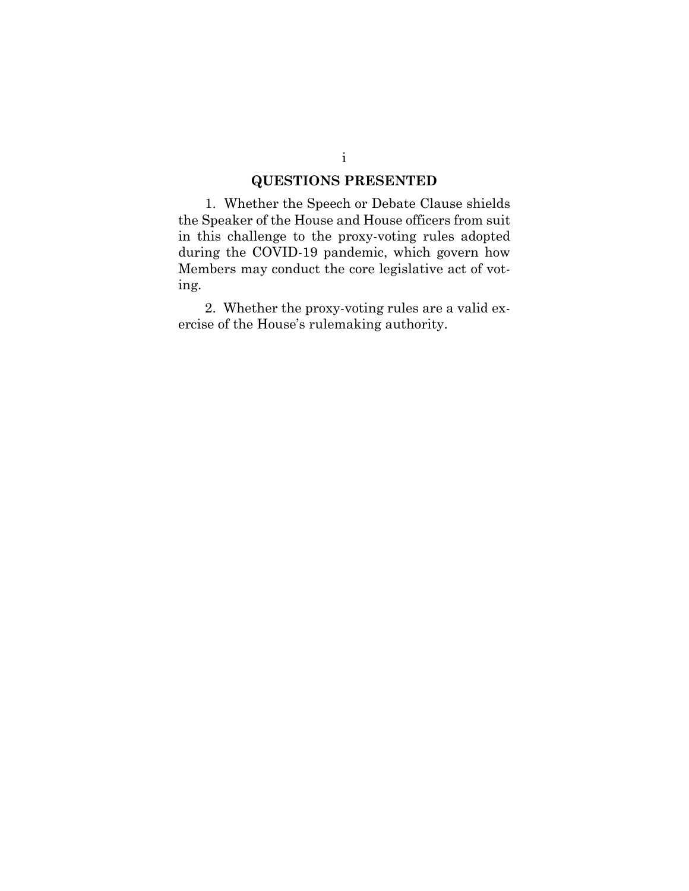### **QUESTIONS PRESENTED**

1. Whether the Speech or Debate Clause shields the Speaker of the House and House officers from suit in this challenge to the proxy-voting rules adopted during the COVID-19 pandemic, which govern how Members may conduct the core legislative act of voting.

2. Whether the proxy-voting rules are a valid exercise of the House's rulemaking authority.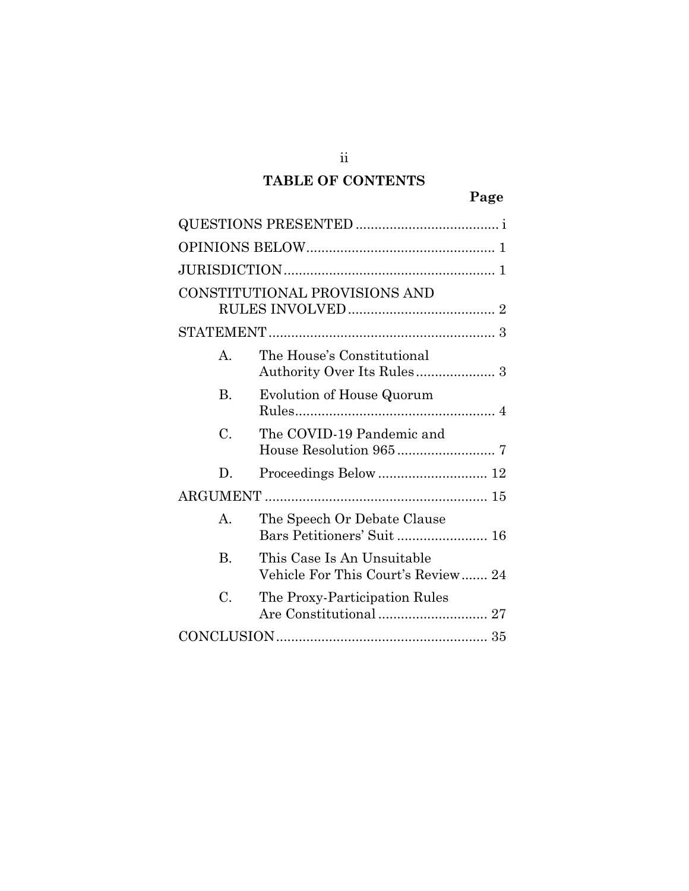# **TABLE OF CONTENTS**

|                | CONSTITUTIONAL PROVISIONS AND                                    |
|----------------|------------------------------------------------------------------|
|                |                                                                  |
| A.             | The House's Constitutional                                       |
| B.             | <b>Evolution of House Quorum</b>                                 |
| C.             | The COVID-19 Pandemic and                                        |
| D.             |                                                                  |
|                |                                                                  |
| A.             | The Speech Or Debate Clause<br>Bars Petitioners' Suit  16        |
| $\mathbf{B}$ . | This Case Is An Unsuitable<br>Vehicle For This Court's Review 24 |
| C.             | The Proxy-Participation Rules                                    |
|                |                                                                  |

ii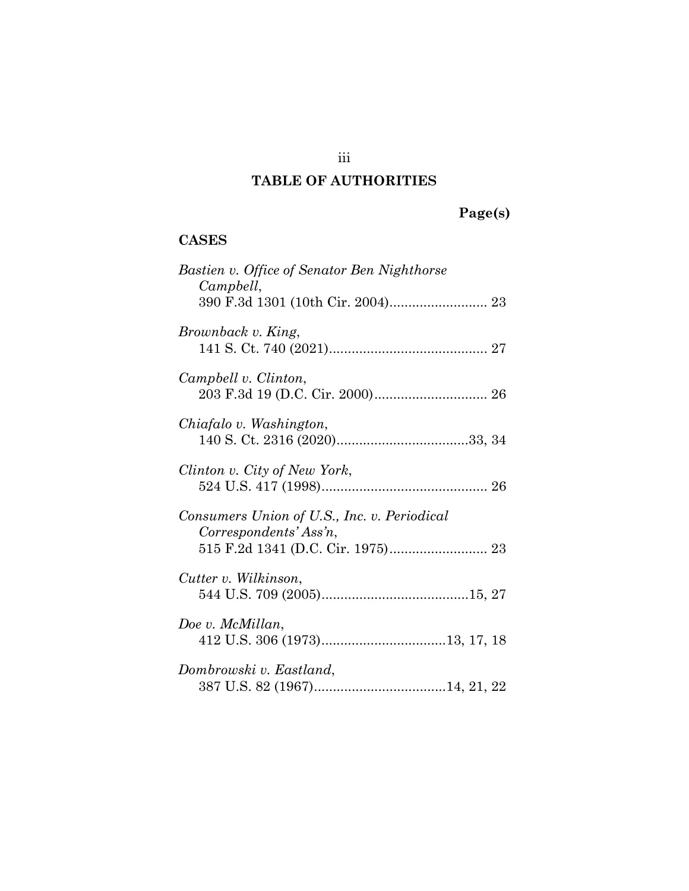## iii

## **TABLE OF AUTHORITIES**

# **Page(s)**

### **CASES**

| Bastien v. Office of Senator Ben Nighthorse<br>Campbell,              |
|-----------------------------------------------------------------------|
| Brownback v. King,                                                    |
| Campbell v. Clinton,                                                  |
| Chiafalo v. Washington,                                               |
| Clinton v. City of New York,                                          |
| Consumers Union of U.S., Inc. v. Periodical<br>Correspondents' Ass'n, |
| Cutter v. Wilkinson,                                                  |
| Doe v. McMillan,                                                      |
| Dombrowski v. Eastland,                                               |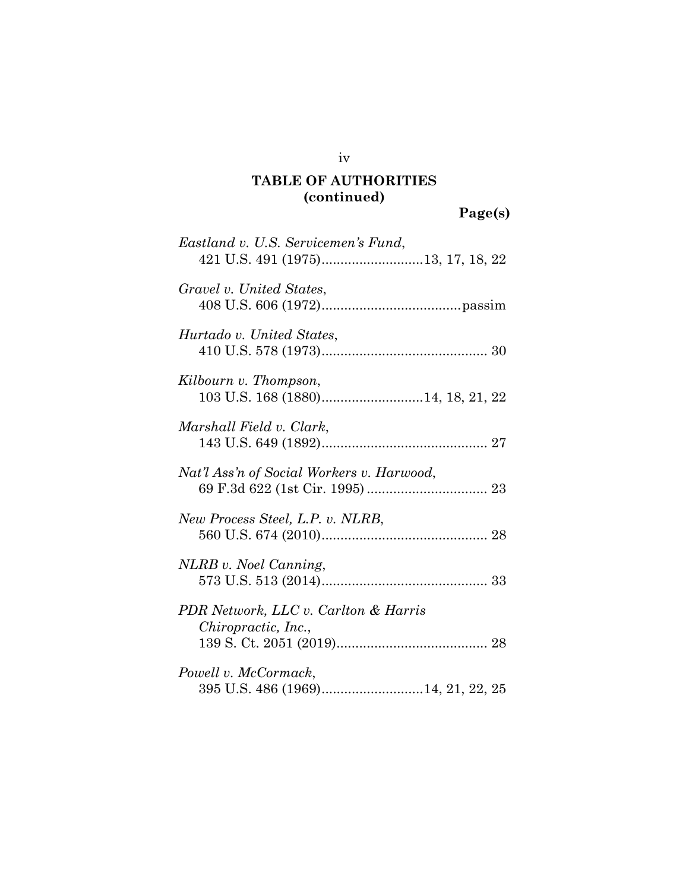**Page(s)** 

| Eastland v. U.S. Servicemen's Fund,                         |
|-------------------------------------------------------------|
| Gravel v. United States,                                    |
| Hurtado v. United States,                                   |
| Kilbourn v. Thompson,<br>103 U.S. 168 (1880)14, 18, 21, 22  |
| Marshall Field v. Clark,                                    |
| Nat'l Ass'n of Social Workers v. Harwood,                   |
| New Process Steel, L.P. v. NLRB,                            |
| NLRB v. Noel Canning,                                       |
| PDR Network, LLC v. Carlton & Harris<br>Chiropractic, Inc., |
| Powell v. McCormack,                                        |

iv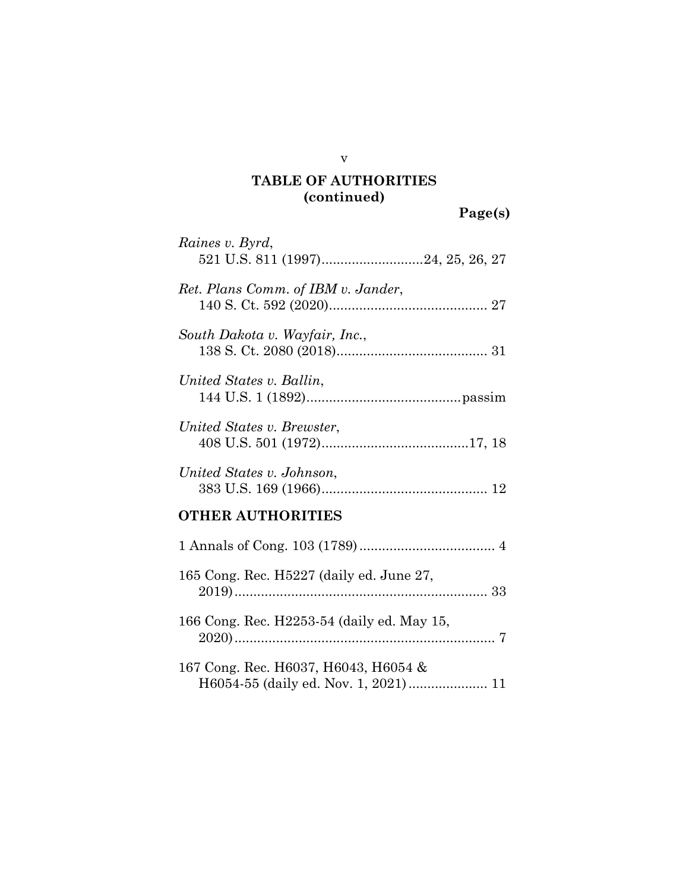| Raines v. Byrd,                            |
|--------------------------------------------|
| Ret. Plans Comm. of IBM v. Jander,         |
| South Dakota v. Wayfair, Inc.,             |
| United States v. Ballin,                   |
| United States v. Brewster,                 |
| United States v. Johnson,                  |
| <b>OTHER AUTHORITIES</b>                   |
|                                            |
| 165 Cong. Rec. H5227 (daily ed. June 27,   |
| 166 Cong. Rec. H2253-54 (daily ed. May 15, |
| 167 Cong. Rec. H6037, H6043, H6054 &       |

v

**Page(s)**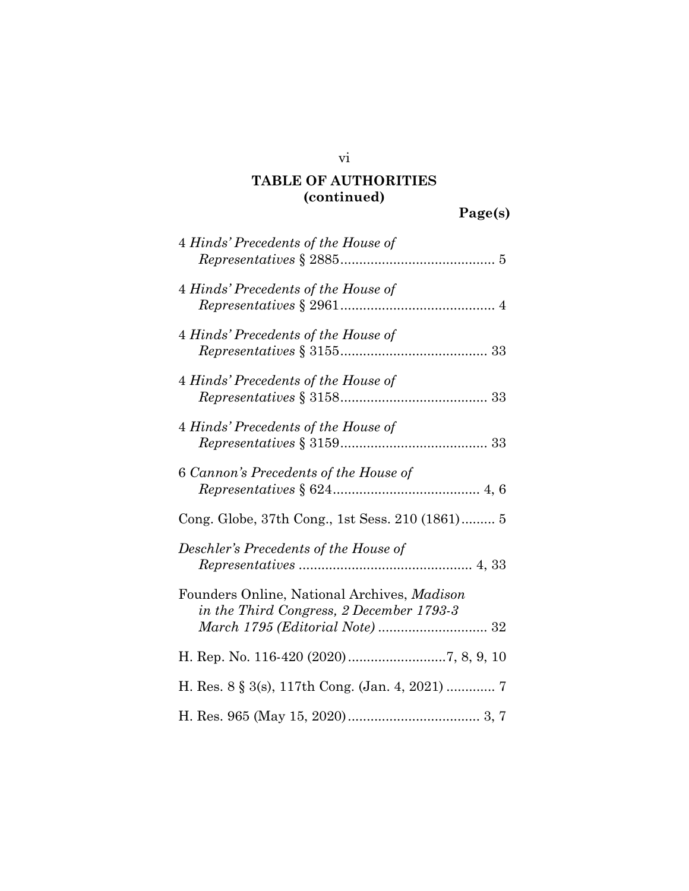| 4 Hinds' Precedents of the House of                                                     |
|-----------------------------------------------------------------------------------------|
| 4 Hinds' Precedents of the House of                                                     |
| 4 Hinds' Precedents of the House of                                                     |
| 4 Hinds' Precedents of the House of                                                     |
| 4 Hinds' Precedents of the House of                                                     |
| 6 Cannon's Precedents of the House of                                                   |
| Cong. Globe, 37th Cong., 1st Sess. 210 (1861) 5                                         |
| Deschler's Precedents of the House of                                                   |
| Founders Online, National Archives, Madison<br>in the Third Congress, 2 December 1793-3 |
|                                                                                         |
|                                                                                         |
|                                                                                         |

vi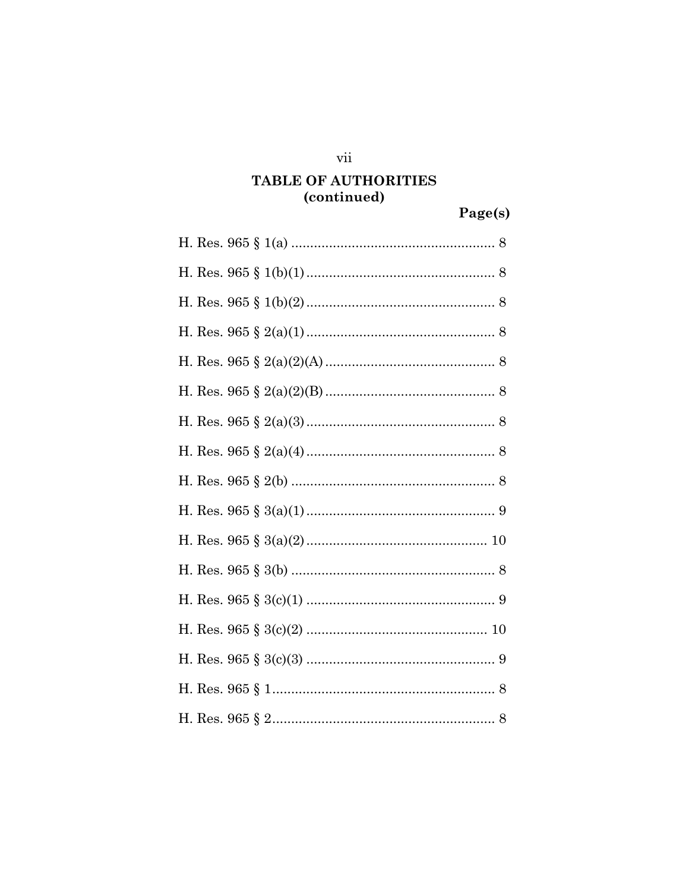$\overline{\text{vii}}$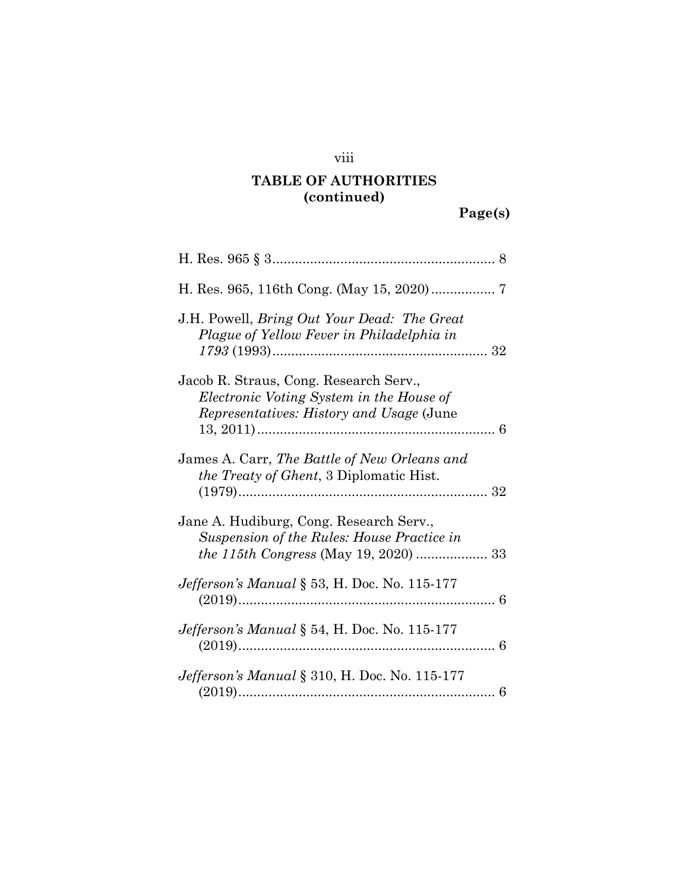### viii

## **TABLE OF AUTHORITIES (continued)**

| J.H. Powell, <i>Bring Out Your Dead: The Great</i><br>Plague of Yellow Fever in Philadelphia in                                         |
|-----------------------------------------------------------------------------------------------------------------------------------------|
| Jacob R. Straus, Cong. Research Serv.,<br>Electronic Voting System in the House of<br><i>Representatives: History and Usage (June</i> ) |
|                                                                                                                                         |
| James A. Carr, The Battle of New Orleans and<br><i>the Treaty of Ghent</i> , 3 Diplomatic Hist.                                         |
| Jane A. Hudiburg, Cong. Research Serv.,<br>Suspension of the Rules: House Practice in                                                   |
| Jefferson's Manual § 53, H. Doc. No. 115-177                                                                                            |
| <i>Jefferson's Manual</i> $\S$ 54, H. Doc. No. 115-177                                                                                  |
| <i>Jefferson's Manual</i> § 310, H. Doc. No. 115-177                                                                                    |

**Page(s)**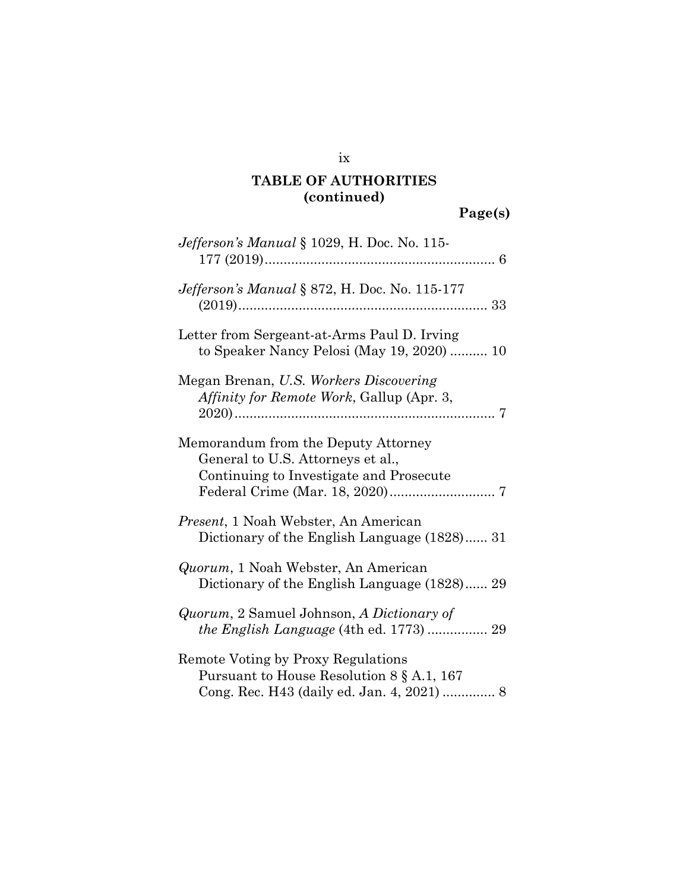## ix

## **TABLE OF AUTHORITIES (continued)**

| Jefferson's Manual § 1029, H. Doc. No. 115-                                                                                      |
|----------------------------------------------------------------------------------------------------------------------------------|
| Jefferson's Manual § 872, H. Doc. No. 115-177                                                                                    |
| Letter from Sergeant-at-Arms Paul D. Irving<br>to Speaker Nancy Pelosi (May 19, 2020)  10                                        |
| Megan Brenan, U.S. Workers Discovering<br>Affinity for Remote Work, Gallup (Apr. 3,                                              |
| Memorandum from the Deputy Attorney<br>General to U.S. Attorneys et al.,<br>Continuing to Investigate and Prosecute              |
| <i>Present</i> , 1 Noah Webster, An American<br>Dictionary of the English Language (1828) 31                                     |
| <i>Quorum</i> , 1 Noah Webster, An American<br>Dictionary of the English Language (1828) 29                                      |
| <i>Quorum, 2 Samuel Johnson, A Dictionary of</i><br>the English Language (4th ed. 1773)  29                                      |
| Remote Voting by Proxy Regulations<br>Pursuant to House Resolution $8 \S$ A.1, 167<br>Cong. Rec. H43 (daily ed. Jan. 4, 2021)  8 |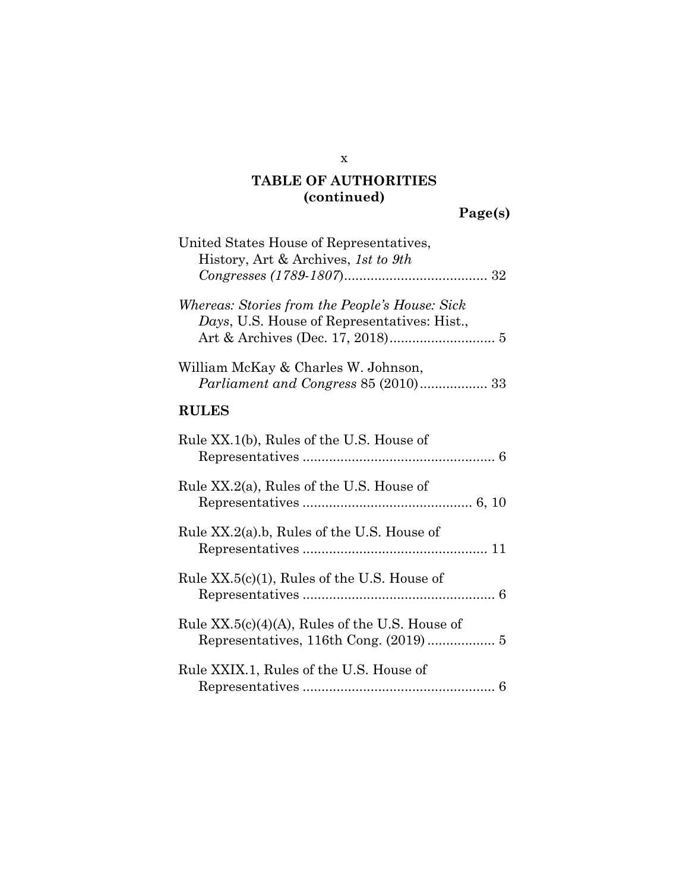**Page(s)** 

| United States House of Representatives,<br>History, Art & Archives, 1st to 9th                |
|-----------------------------------------------------------------------------------------------|
| Whereas: Stories from the People's House: Sick<br>Days, U.S. House of Representatives: Hist., |
| William McKay & Charles W. Johnson,<br><i>Parliament and Congress 85 (2010)</i> 33            |
| <b>RULES</b>                                                                                  |
| Rule XX.1(b), Rules of the U.S. House of                                                      |
| Rule XX.2(a), Rules of the U.S. House of                                                      |
| Rule $XX.2(a)$ .b, Rules of the U.S. House of                                                 |
| Rule XX.5(c)(1), Rules of the U.S. House of                                                   |
| Rule $XX.5(c)(4)(A)$ , Rules of the U.S. House of                                             |
| Rule XXIX.1, Rules of the U.S. House of                                                       |

x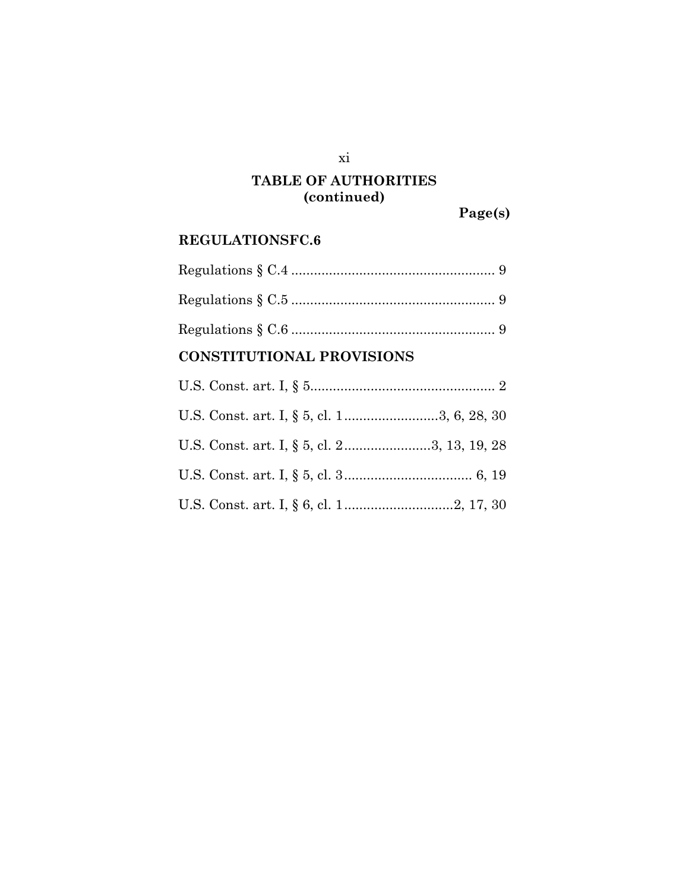### xi

## **TABLE OF AUTHORITIES (continued)**

**Page(s)** 

### **REGULATIONSFC.6**

## **CONSTITUTIONAL PROVISIONS**

| U.S. Const. art. I, § 5, cl. 23, 13, 19, 28 |  |
|---------------------------------------------|--|
|                                             |  |
|                                             |  |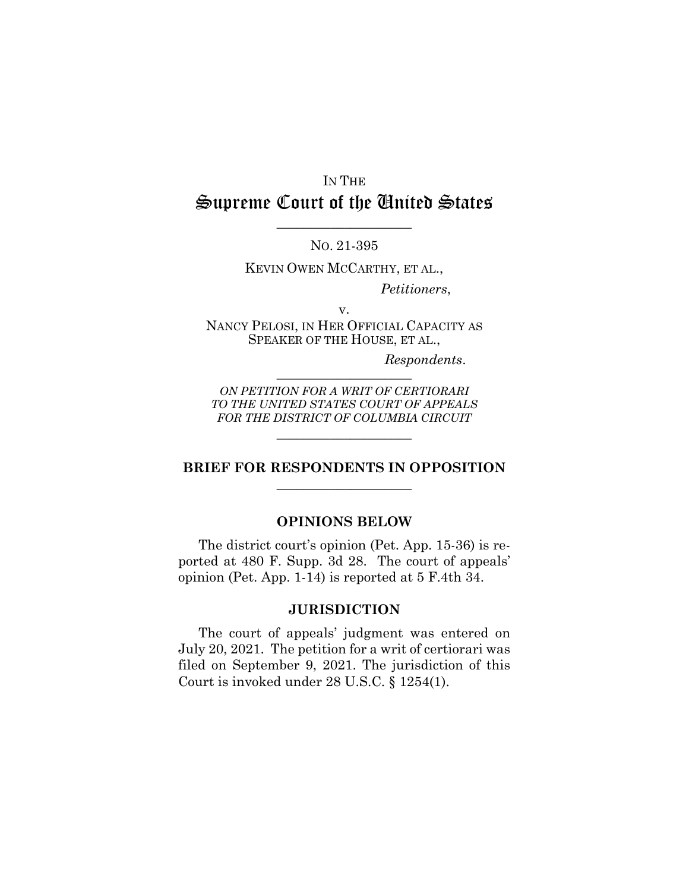# IN THE Supreme Court of the United States

NO. 21-395

 $\_$ 

KEVIN OWEN MCCARTHY, ET AL.,

*Petitioners*,

v.

NANCY PELOSI, IN HER OFFICIAL CAPACITY AS SPEAKER OF THE HOUSE, ET AL.,

 $Respondents.$ 

*ON PETITION FOR A WRIT OF CERTIORARI TO THE UNITED STATES COURT OF APPEALS FOR THE DISTRICT OF COLUMBIA CIRCUIT*

 $\_$ 

#### **BRIEF FOR RESPONDENTS IN OPPOSITION**   $\_$

#### **OPINIONS BELOW**

The district court's opinion (Pet. App. 15-36) is reported at 480 F. Supp. 3d 28. The court of appeals' opinion (Pet. App. 1-14) is reported at 5 F.4th 34.

#### **JURISDICTION**

The court of appeals' judgment was entered on July 20, 2021. The petition for a writ of certiorari was filed on September 9, 2021. The jurisdiction of this Court is invoked under 28 U.S.C. § 1254(1).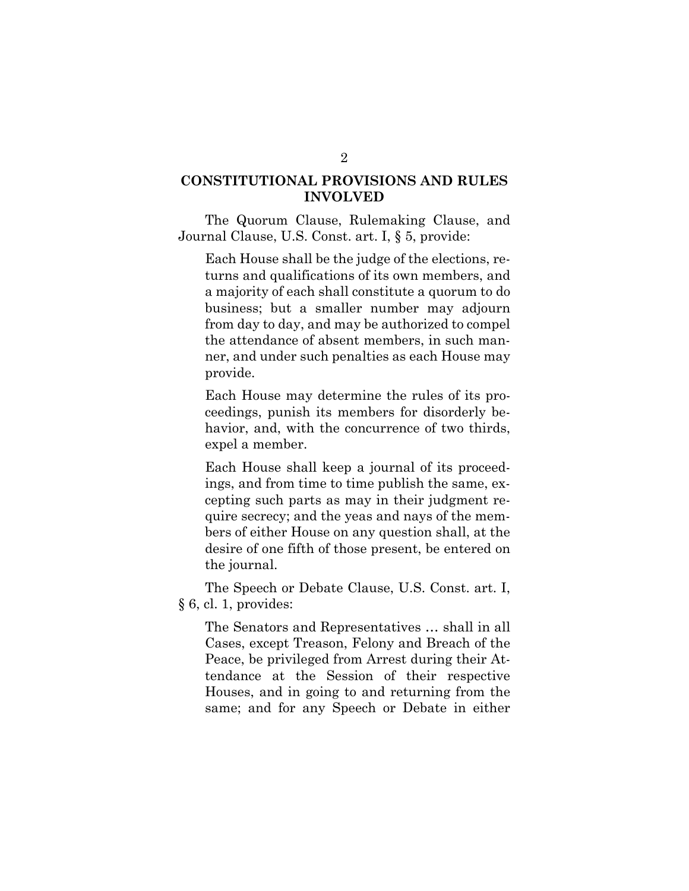### **CONSTITUTIONAL PROVISIONS AND RULES INVOLVED**

The Quorum Clause, Rulemaking Clause, and Journal Clause, U.S. Const. art. I, § 5, provide:

Each House shall be the judge of the elections, returns and qualifications of its own members, and a majority of each shall constitute a quorum to do business; but a smaller number may adjourn from day to day, and may be authorized to compel the attendance of absent members, in such manner, and under such penalties as each House may provide.

Each House may determine the rules of its proceedings, punish its members for disorderly behavior, and, with the concurrence of two thirds, expel a member.

Each House shall keep a journal of its proceedings, and from time to time publish the same, excepting such parts as may in their judgment require secrecy; and the yeas and nays of the members of either House on any question shall, at the desire of one fifth of those present, be entered on the journal.

The Speech or Debate Clause, U.S. Const. art. I, § 6, cl. 1, provides:

The Senators and Representatives … shall in all Cases, except Treason, Felony and Breach of the Peace, be privileged from Arrest during their Attendance at the Session of their respective Houses, and in going to and returning from the same; and for any Speech or Debate in either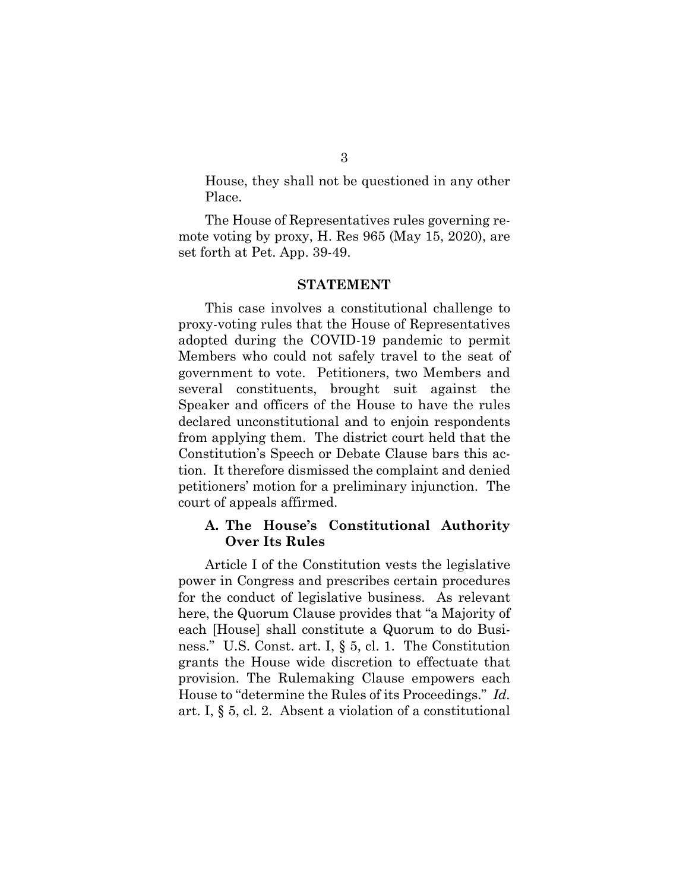House, they shall not be questioned in any other Place.

The House of Representatives rules governing remote voting by proxy, H. Res 965 (May 15, 2020), are set forth at Pet. App. 39-49.

#### **STATEMENT**

This case involves a constitutional challenge to proxy-voting rules that the House of Representatives adopted during the COVID-19 pandemic to permit Members who could not safely travel to the seat of government to vote. Petitioners, two Members and several constituents, brought suit against the Speaker and officers of the House to have the rules declared unconstitutional and to enjoin respondents from applying them. The district court held that the Constitution's Speech or Debate Clause bars this action. It therefore dismissed the complaint and denied petitioners' motion for a preliminary injunction. The court of appeals affirmed.

#### **A. The House's Constitutional Authority Over Its Rules**

Article I of the Constitution vests the legislative power in Congress and prescribes certain procedures for the conduct of legislative business. As relevant here, the Quorum Clause provides that "a Majority of each [House] shall constitute a Quorum to do Business." U.S. Const. art. I, § 5, cl. 1. The Constitution grants the House wide discretion to effectuate that provision. The Rulemaking Clause empowers each House to "determine the Rules of its Proceedings." *Id.* art. I, § 5, cl. 2. Absent a violation of a constitutional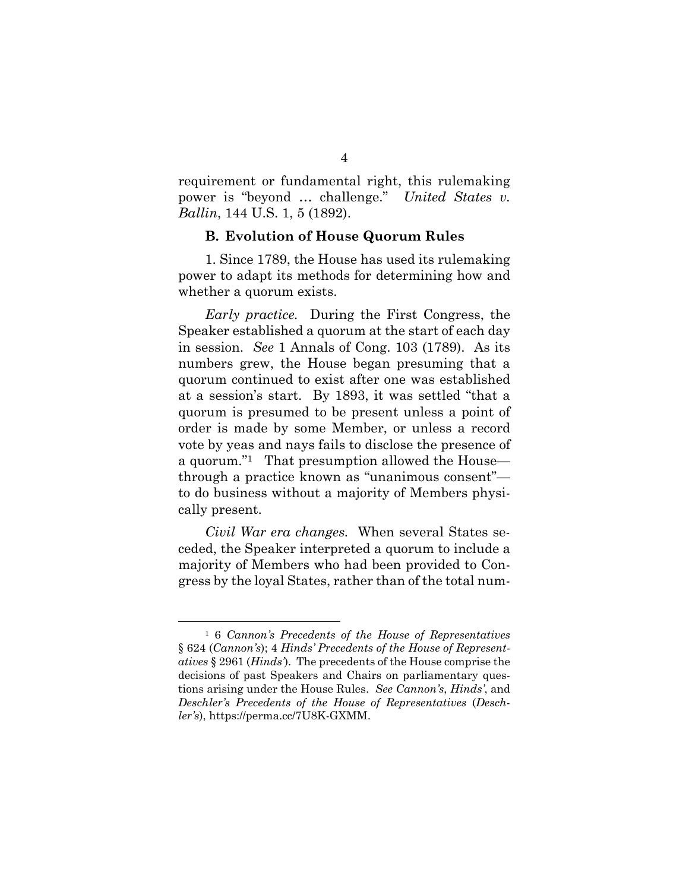requirement or fundamental right, this rulemaking power is "beyond … challenge." *United States v. Ballin*, 144 U.S. 1, 5 (1892).

#### **B. Evolution of House Quorum Rules**

1. Since 1789, the House has used its rulemaking power to adapt its methods for determining how and whether a quorum exists.

*Early practice.* During the First Congress, the Speaker established a quorum at the start of each day in session. *See* 1 Annals of Cong. 103 (1789). As its numbers grew, the House began presuming that a quorum continued to exist after one was established at a session's start. By 1893, it was settled "that a quorum is presumed to be present unless a point of order is made by some Member, or unless a record vote by yeas and nays fails to disclose the presence of a quorum."1 That presumption allowed the House through a practice known as "unanimous consent" to do business without a majority of Members physically present.

*Civil War era changes.* When several States seceded, the Speaker interpreted a quorum to include a majority of Members who had been provided to Congress by the loyal States, rather than of the total num-

<sup>1 6</sup> *Cannon's Precedents of the House of Representatives* § 624 (*Cannon's*); 4 *Hinds' Precedents of the House of Representatives* § 2961 (*Hinds'*). The precedents of the House comprise the decisions of past Speakers and Chairs on parliamentary questions arising under the House Rules. *See Cannon's*, *Hinds'*, and *Deschler's Precedents of the House of Representatives* (*Deschler's*), https://perma.cc/7U8K-GXMM.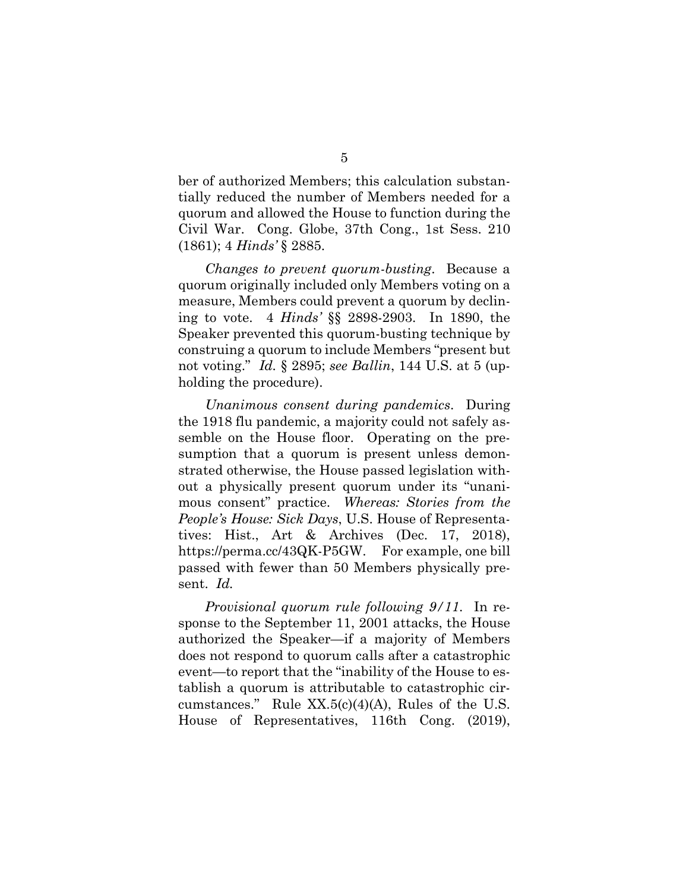ber of authorized Members; this calculation substantially reduced the number of Members needed for a quorum and allowed the House to function during the Civil War. Cong. Globe, 37th Cong., 1st Sess. 210 (1861); 4 *Hinds'* § 2885.

*Changes to prevent quorum-busting*. Because a quorum originally included only Members voting on a measure, Members could prevent a quorum by declining to vote. 4 *Hinds'* §§ 2898-2903. In 1890, the Speaker prevented this quorum-busting technique by construing a quorum to include Members "present but not voting." *Id.* § 2895; *see Ballin*, 144 U.S. at 5 (upholding the procedure).

*Unanimous consent during pandemics*. During the 1918 flu pandemic, a majority could not safely assemble on the House floor. Operating on the presumption that a quorum is present unless demonstrated otherwise, the House passed legislation without a physically present quorum under its "unanimous consent" practice. *Whereas: Stories from the People's House: Sick Days*, U.S. House of Representatives: Hist., Art & Archives (Dec. 17, 2018), https://perma.cc/43QK-P5GW. For example, one bill passed with fewer than 50 Members physically present. *Id.*

*Provisional quorum rule following 9/11*. In response to the September 11, 2001 attacks, the House authorized the Speaker—if a majority of Members does not respond to quorum calls after a catastrophic event—to report that the "inability of the House to establish a quorum is attributable to catastrophic circumstances." Rule  $XX.5(c)(4)(A)$ , Rules of the U.S. House of Representatives, 116th Cong. (2019),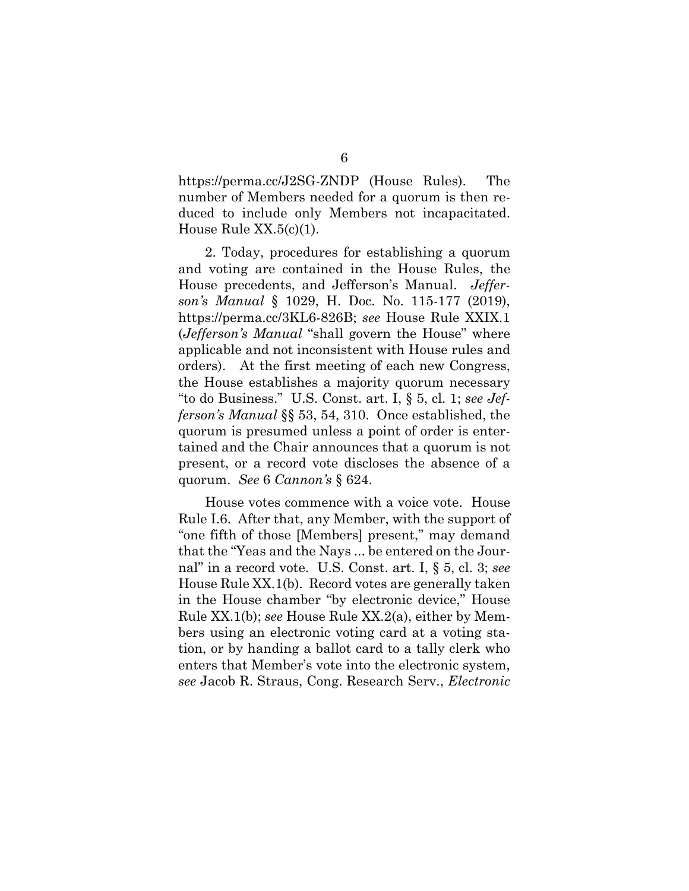https://perma.cc/J2SG-ZNDP (House Rules). The number of Members needed for a quorum is then reduced to include only Members not incapacitated. House Rule XX.5(c)(1).

2. Today, procedures for establishing a quorum and voting are contained in the House Rules, the House precedents, and Jefferson's Manual. *Jefferson's Manual* § 1029, H. Doc. No. 115-177 (2019), https://perma.cc/3KL6-826B; *see* House Rule XXIX.1 (*Jefferson's Manual* "shall govern the House" where applicable and not inconsistent with House rules and orders). At the first meeting of each new Congress, the House establishes a majority quorum necessary "to do Business." U.S. Const. art. I, § 5, cl. 1; *see Jefferson's Manual* §§ 53, 54, 310. Once established, the quorum is presumed unless a point of order is entertained and the Chair announces that a quorum is not present, or a record vote discloses the absence of a quorum. *See* 6 *Cannon's* § 624.

House votes commence with a voice vote. House Rule I.6. After that, any Member, with the support of "one fifth of those [Members] present," may demand that the "Yeas and the Nays ... be entered on the Journal" in a record vote. U.S. Const. art. I, § 5, cl. 3; *see* House Rule XX.1(b). Record votes are generally taken in the House chamber "by electronic device," House Rule XX.1(b); *see* House Rule XX.2(a), either by Members using an electronic voting card at a voting station, or by handing a ballot card to a tally clerk who enters that Member's vote into the electronic system, *see* Jacob R. Straus, Cong. Research Serv., *Electronic*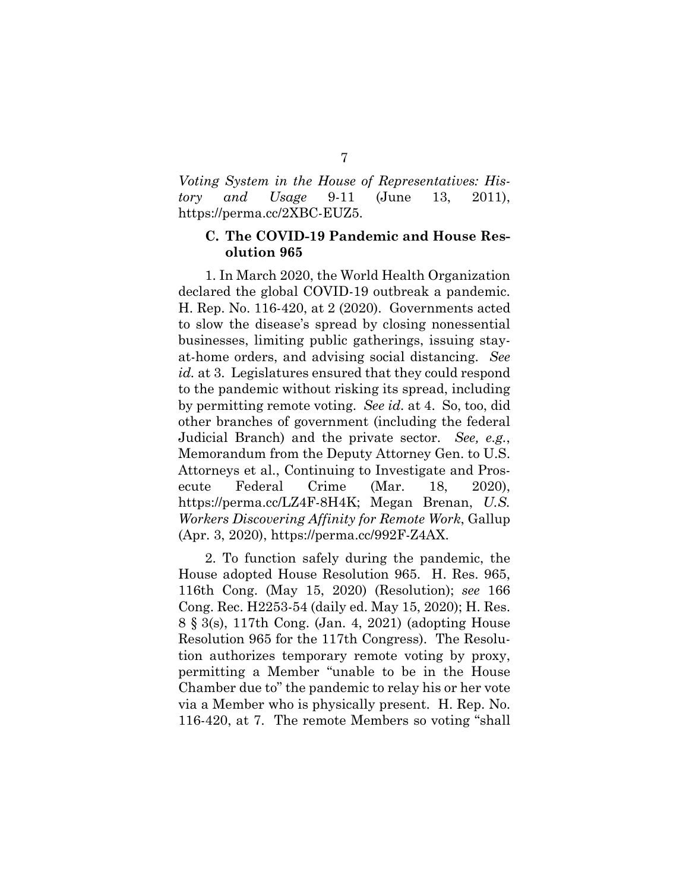*Voting System in the House of Representatives: History and Usage* 9-11 (June 13, 2011), https://perma.cc/2XBC-EUZ5.

#### **C. The COVID-19 Pandemic and House Resolution 965**

1. In March 2020, the World Health Organization declared the global COVID-19 outbreak a pandemic. H. Rep. No. 116-420, at 2 (2020). Governments acted to slow the disease's spread by closing nonessential businesses, limiting public gatherings, issuing stayat-home orders, and advising social distancing. *See id.* at 3. Legislatures ensured that they could respond to the pandemic without risking its spread, including by permitting remote voting. *See id.* at 4. So, too, did other branches of government (including the federal Judicial Branch) and the private sector. *See, e.g.*, Memorandum from the Deputy Attorney Gen. to U.S. Attorneys et al., Continuing to Investigate and Prosecute Federal Crime (Mar. 18, 2020), https://perma.cc/LZ4F-8H4K; Megan Brenan, *U.S. Workers Discovering Affinity for Remote Work*, Gallup (Apr. 3, 2020), https://perma.cc/992F-Z4AX.

2. To function safely during the pandemic, the House adopted House Resolution 965. H. Res. 965, 116th Cong. (May 15, 2020) (Resolution); *see* 166 Cong. Rec. H2253-54 (daily ed. May 15, 2020); H. Res. 8 § 3(s), 117th Cong. (Jan. 4, 2021) (adopting House Resolution 965 for the 117th Congress). The Resolution authorizes temporary remote voting by proxy, permitting a Member "unable to be in the House Chamber due to" the pandemic to relay his or her vote via a Member who is physically present. H. Rep. No. 116-420, at 7. The remote Members so voting "shall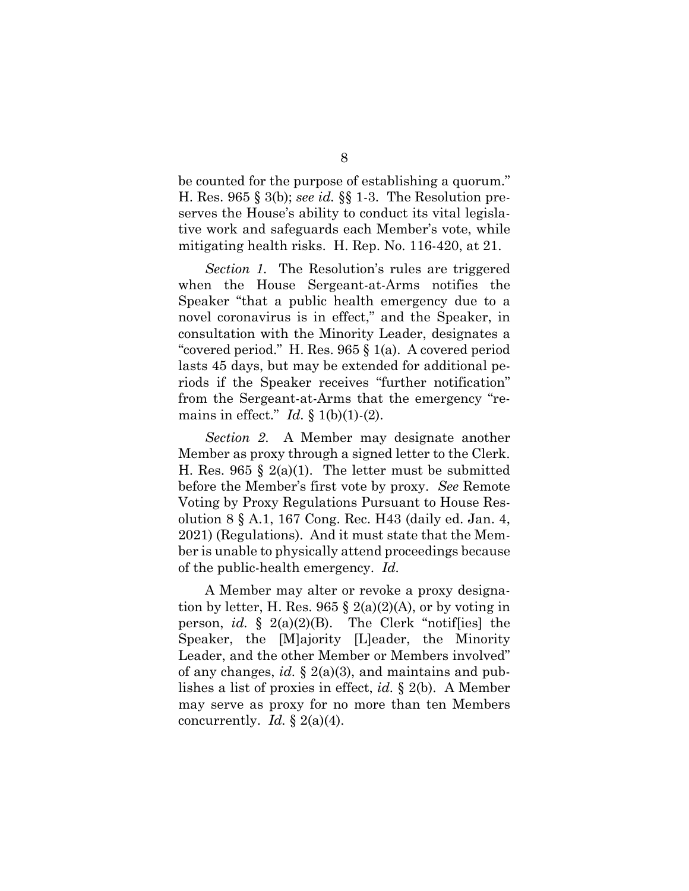be counted for the purpose of establishing a quorum." H. Res. 965 § 3(b); *see id.* §§ 1-3. The Resolution preserves the House's ability to conduct its vital legislative work and safeguards each Member's vote, while mitigating health risks. H. Rep. No. 116-420, at 21.

*Section 1.* The Resolution's rules are triggered when the House Sergeant-at-Arms notifies the Speaker "that a public health emergency due to a novel coronavirus is in effect," and the Speaker, in consultation with the Minority Leader, designates a "covered period." H. Res. 965 § 1(a). A covered period lasts 45 days, but may be extended for additional periods if the Speaker receives "further notification" from the Sergeant-at-Arms that the emergency "remains in effect."  $Id. \S 1(b)(1)-(2)$ .

*Section 2*. A Member may designate another Member as proxy through a signed letter to the Clerk. H. Res. 965 § 2(a)(1). The letter must be submitted before the Member's first vote by proxy. *See* Remote Voting by Proxy Regulations Pursuant to House Resolution 8 § A.1, 167 Cong. Rec. H43 (daily ed. Jan. 4, 2021) (Regulations). And it must state that the Member is unable to physically attend proceedings because of the public-health emergency. *Id.*

A Member may alter or revoke a proxy designation by letter, H. Res. 965  $\S$  2(a)(2)(A), or by voting in person, *id.* § 2(a)(2)(B). The Clerk "notif[ies] the Speaker, the [M]ajority [L]eader, the Minority Leader, and the other Member or Members involved" of any changes, *id.* § 2(a)(3), and maintains and publishes a list of proxies in effect, *id.* § 2(b). A Member may serve as proxy for no more than ten Members concurrently. *Id.*  $\S 2(a)(4)$ .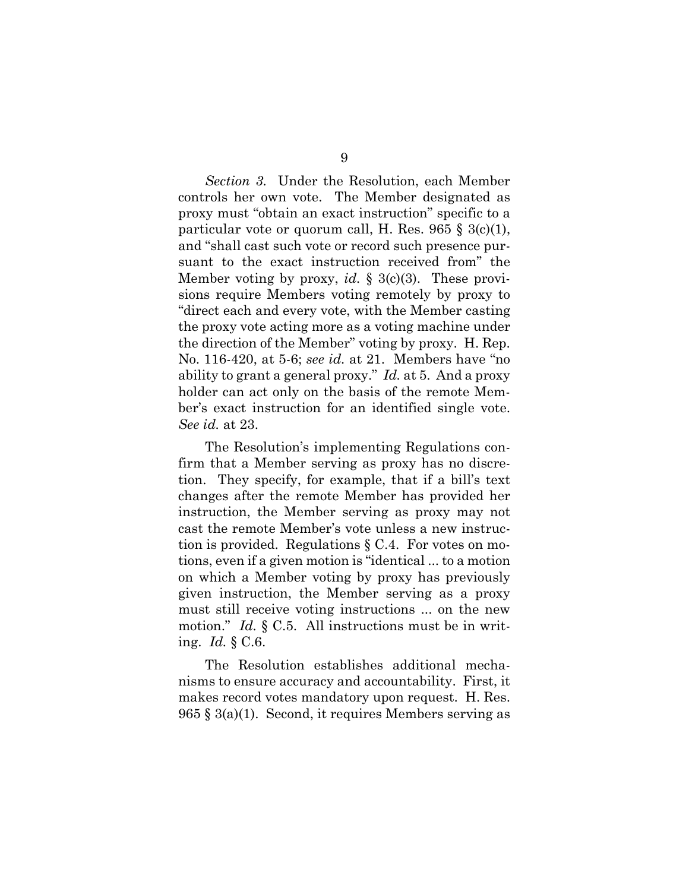*Section 3.* Under the Resolution, each Member controls her own vote. The Member designated as proxy must "obtain an exact instruction" specific to a particular vote or quorum call, H. Res. 965 § 3(c)(1), and "shall cast such vote or record such presence pursuant to the exact instruction received from" the Member voting by proxy, *id.* § 3(c)(3). These provisions require Members voting remotely by proxy to "direct each and every vote, with the Member casting the proxy vote acting more as a voting machine under the direction of the Member" voting by proxy. H. Rep. No. 116-420, at 5-6; *see id.* at 21. Members have "no ability to grant a general proxy." *Id.* at 5. And a proxy holder can act only on the basis of the remote Member's exact instruction for an identified single vote. *See id.* at 23.

The Resolution's implementing Regulations confirm that a Member serving as proxy has no discretion. They specify, for example, that if a bill's text changes after the remote Member has provided her instruction, the Member serving as proxy may not cast the remote Member's vote unless a new instruction is provided. Regulations § C.4. For votes on motions, even if a given motion is "identical ... to a motion on which a Member voting by proxy has previously given instruction, the Member serving as a proxy must still receive voting instructions ... on the new motion." *Id.* § C.5. All instructions must be in writing. *Id.* § C.6.

The Resolution establishes additional mechanisms to ensure accuracy and accountability. First, it makes record votes mandatory upon request. H. Res. 965 § 3(a)(1). Second, it requires Members serving as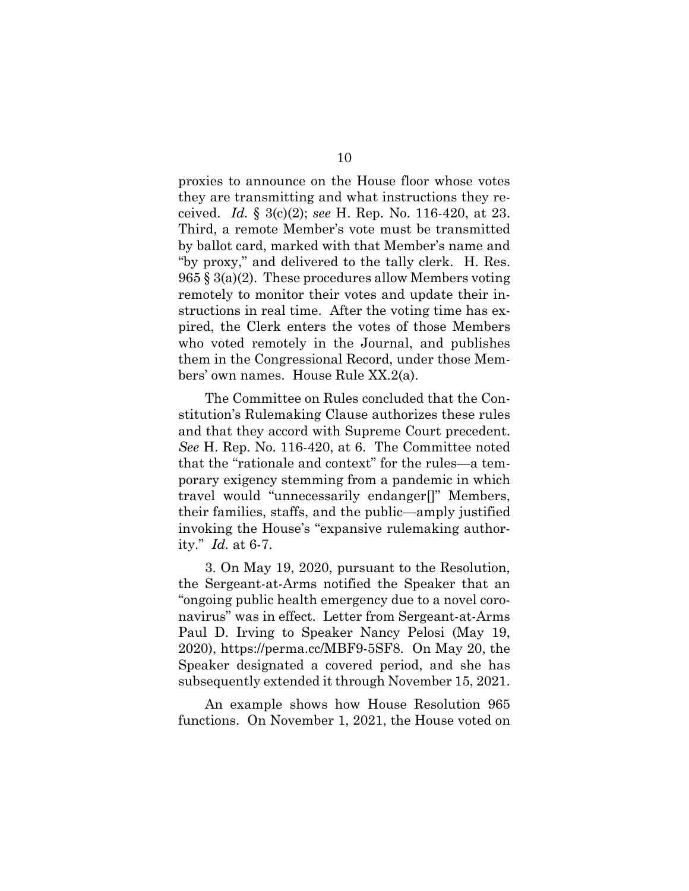proxies to announce on the House floor whose votes they are transmitting and what instructions they received. *Id.* § 3(c)(2); *see* H. Rep. No. 116-420, at 23. Third, a remote Member's vote must be transmitted by ballot card, marked with that Member's name and "by proxy," and delivered to the tally clerk. H. Res.  $965 \text{ § } 3(a)(2)$ . These procedures allow Members voting remotely to monitor their votes and update their instructions in real time. After the voting time has expired, the Clerk enters the votes of those Members who voted remotely in the Journal, and publishes them in the Congressional Record, under those Members' own names. House Rule XX.2(a).

The Committee on Rules concluded that the Constitution's Rulemaking Clause authorizes these rules and that they accord with Supreme Court precedent. *See* H. Rep. No. 116-420, at 6. The Committee noted that the "rationale and context" for the rules—a temporary exigency stemming from a pandemic in which travel would "unnecessarily endanger[]" Members, their families, staffs, and the public—amply justified invoking the House's "expansive rulemaking authority." *Id.* at 6-7.

3. On May 19, 2020, pursuant to the Resolution, the Sergeant-at-Arms notified the Speaker that an "ongoing public health emergency due to a novel coronavirus" was in effect. Letter from Sergeant-at-Arms Paul D. Irving to Speaker Nancy Pelosi (May 19, 2020), https://perma.cc/MBF9-5SF8. On May 20, the Speaker designated a covered period, and she has subsequently extended it through November 15, 2021.

An example shows how House Resolution 965 functions. On November 1, 2021, the House voted on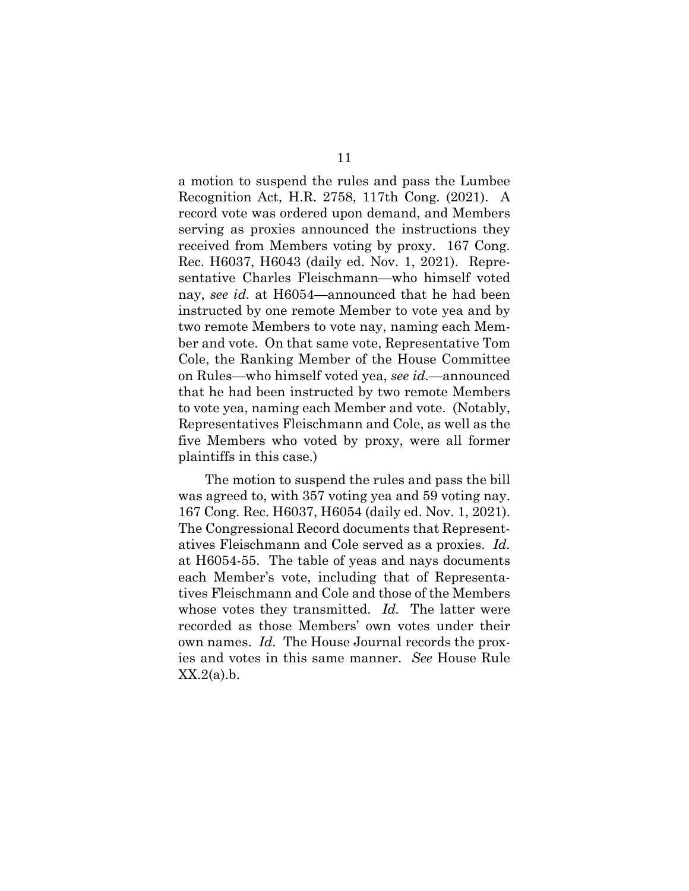a motion to suspend the rules and pass the Lumbee Recognition Act, H.R. 2758, 117th Cong. (2021). A record vote was ordered upon demand, and Members serving as proxies announced the instructions they received from Members voting by proxy. 167 Cong. Rec. H6037, H6043 (daily ed. Nov. 1, 2021). Representative Charles Fleischmann—who himself voted nay, *see id.* at H6054—announced that he had been instructed by one remote Member to vote yea and by two remote Members to vote nay, naming each Member and vote. On that same vote, Representative Tom Cole, the Ranking Member of the House Committee on Rules—who himself voted yea, *see id.*—announced that he had been instructed by two remote Members to vote yea, naming each Member and vote. (Notably, Representatives Fleischmann and Cole, as well as the five Members who voted by proxy, were all former plaintiffs in this case.)

The motion to suspend the rules and pass the bill was agreed to, with 357 voting yea and 59 voting nay. 167 Cong. Rec. H6037, H6054 (daily ed. Nov. 1, 2021). The Congressional Record documents that Representatives Fleischmann and Cole served as a proxies. *Id.* at H6054-55. The table of yeas and nays documents each Member's vote, including that of Representatives Fleischmann and Cole and those of the Members whose votes they transmitted. *Id.* The latter were recorded as those Members' own votes under their own names. *Id.* The House Journal records the proxies and votes in this same manner. *See* House Rule  $XX.2(a)$ .b.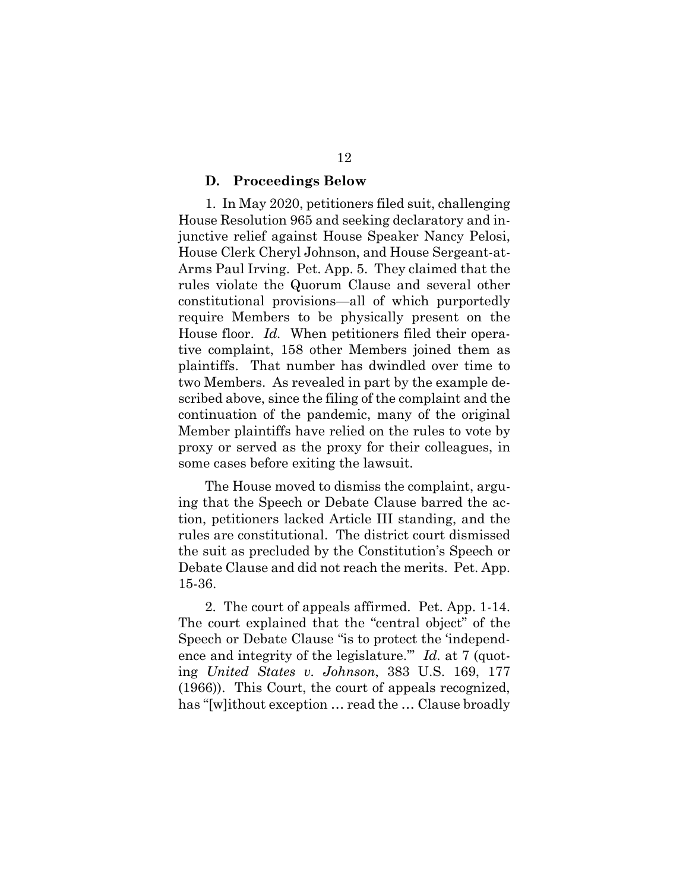#### **D. Proceedings Below**

1. In May 2020, petitioners filed suit, challenging House Resolution 965 and seeking declaratory and injunctive relief against House Speaker Nancy Pelosi, House Clerk Cheryl Johnson, and House Sergeant-at-Arms Paul Irving. Pet. App. 5. They claimed that the rules violate the Quorum Clause and several other constitutional provisions—all of which purportedly require Members to be physically present on the House floor. *Id.* When petitioners filed their operative complaint, 158 other Members joined them as plaintiffs. That number has dwindled over time to two Members. As revealed in part by the example described above, since the filing of the complaint and the continuation of the pandemic, many of the original Member plaintiffs have relied on the rules to vote by proxy or served as the proxy for their colleagues, in some cases before exiting the lawsuit.

The House moved to dismiss the complaint, arguing that the Speech or Debate Clause barred the action, petitioners lacked Article III standing, and the rules are constitutional. The district court dismissed the suit as precluded by the Constitution's Speech or Debate Clause and did not reach the merits. Pet. App. 15-36.

2. The court of appeals affirmed. Pet. App. 1-14. The court explained that the "central object" of the Speech or Debate Clause "is to protect the 'independence and integrity of the legislature." *Id.* at 7 (quoting *United States v. Johnson*, 383 U.S. 169, 177 (1966)). This Court, the court of appeals recognized, has "[w]ithout exception … read the … Clause broadly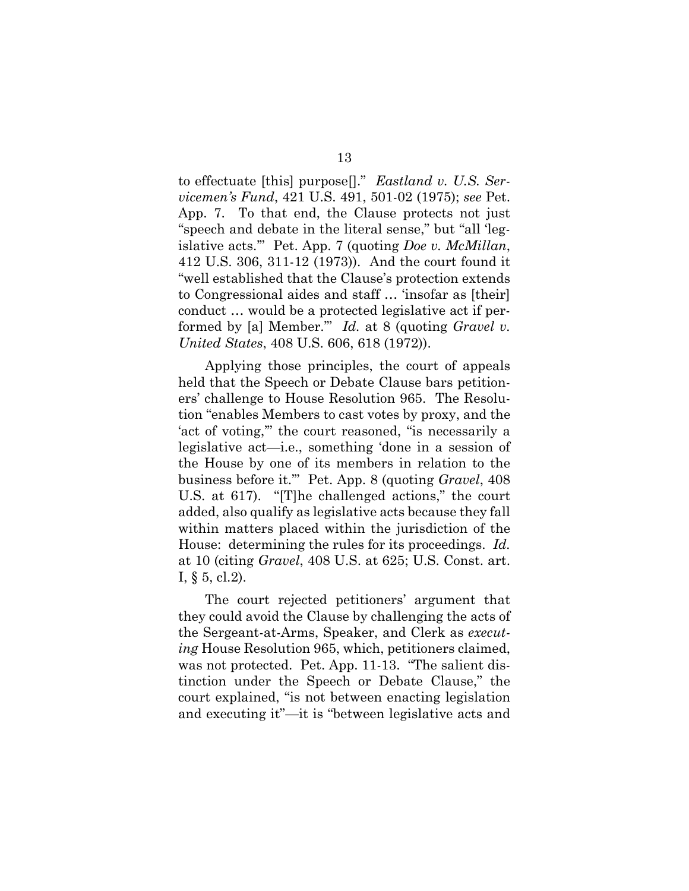to effectuate [this] purpose[]." *Eastland v. U.S. Servicemen's Fund*, 421 U.S. 491, 501-02 (1975); *see* Pet. App. 7. To that end, the Clause protects not just "speech and debate in the literal sense," but "all 'legislative acts.'" Pet. App. 7 (quoting *Doe v. McMillan*, 412 U.S. 306, 311-12 (1973)). And the court found it "well established that the Clause's protection extends to Congressional aides and staff … 'insofar as [their] conduct … would be a protected legislative act if performed by [a] Member.'" *Id.* at 8 (quoting *Gravel v. United States*, 408 U.S. 606, 618 (1972)).

Applying those principles, the court of appeals held that the Speech or Debate Clause bars petitioners' challenge to House Resolution 965. The Resolution "enables Members to cast votes by proxy, and the 'act of voting,'" the court reasoned, "is necessarily a legislative act—i.e., something 'done in a session of the House by one of its members in relation to the business before it.'" Pet. App. 8 (quoting *Gravel*, 408 U.S. at 617). "[T]he challenged actions," the court added, also qualify as legislative acts because they fall within matters placed within the jurisdiction of the House: determining the rules for its proceedings. *Id.*  at 10 (citing *Gravel*, 408 U.S. at 625; U.S. Const. art. I,  $\S$  5, cl.2).

The court rejected petitioners' argument that they could avoid the Clause by challenging the acts of the Sergeant-at-Arms, Speaker, and Clerk as *executing* House Resolution 965, which, petitioners claimed, was not protected. Pet. App. 11-13. "The salient distinction under the Speech or Debate Clause," the court explained, "is not between enacting legislation and executing it"—it is "between legislative acts and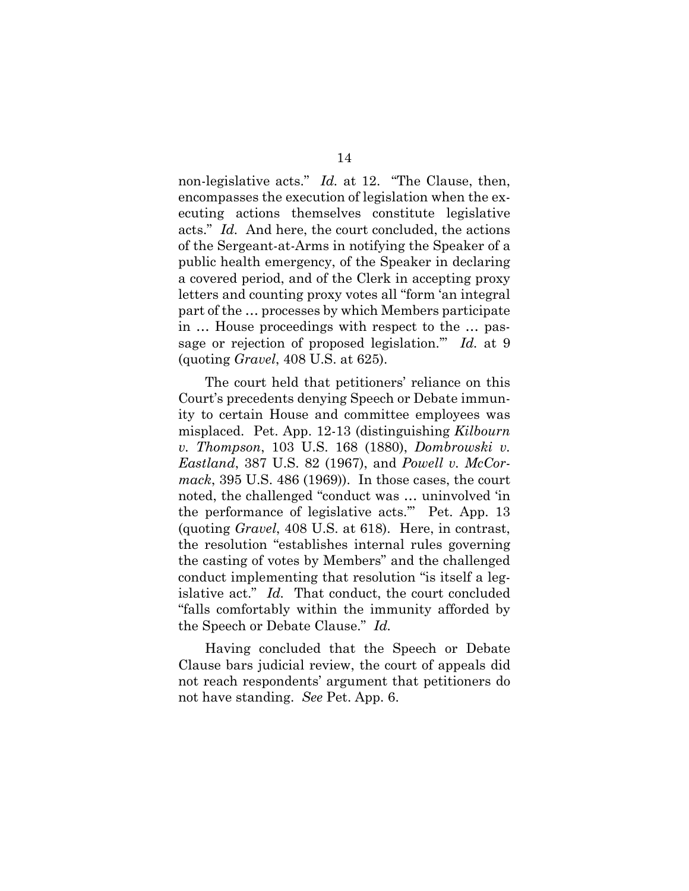non-legislative acts." *Id.* at 12. "The Clause, then, encompasses the execution of legislation when the executing actions themselves constitute legislative acts." *Id.* And here, the court concluded, the actions of the Sergeant-at-Arms in notifying the Speaker of a public health emergency, of the Speaker in declaring a covered period, and of the Clerk in accepting proxy letters and counting proxy votes all "form 'an integral part of the … processes by which Members participate in … House proceedings with respect to the … passage or rejection of proposed legislation.'" *Id.* at 9 (quoting *Gravel*, 408 U.S. at 625).

The court held that petitioners' reliance on this Court's precedents denying Speech or Debate immunity to certain House and committee employees was misplaced. Pet. App. 12-13 (distinguishing *Kilbourn v. Thompson*, 103 U.S. 168 (1880), *Dombrowski v. Eastland*, 387 U.S. 82 (1967), and *Powell v. McCormack*, 395 U.S. 486 (1969)). In those cases, the court noted, the challenged "conduct was … uninvolved 'in the performance of legislative acts.'" Pet. App. 13 (quoting *Gravel*, 408 U.S. at 618). Here, in contrast, the resolution "establishes internal rules governing the casting of votes by Members" and the challenged conduct implementing that resolution "is itself a legislative act." *Id.* That conduct, the court concluded "falls comfortably within the immunity afforded by the Speech or Debate Clause." *Id.* 

Having concluded that the Speech or Debate Clause bars judicial review, the court of appeals did not reach respondents' argument that petitioners do not have standing. *See* Pet. App. 6.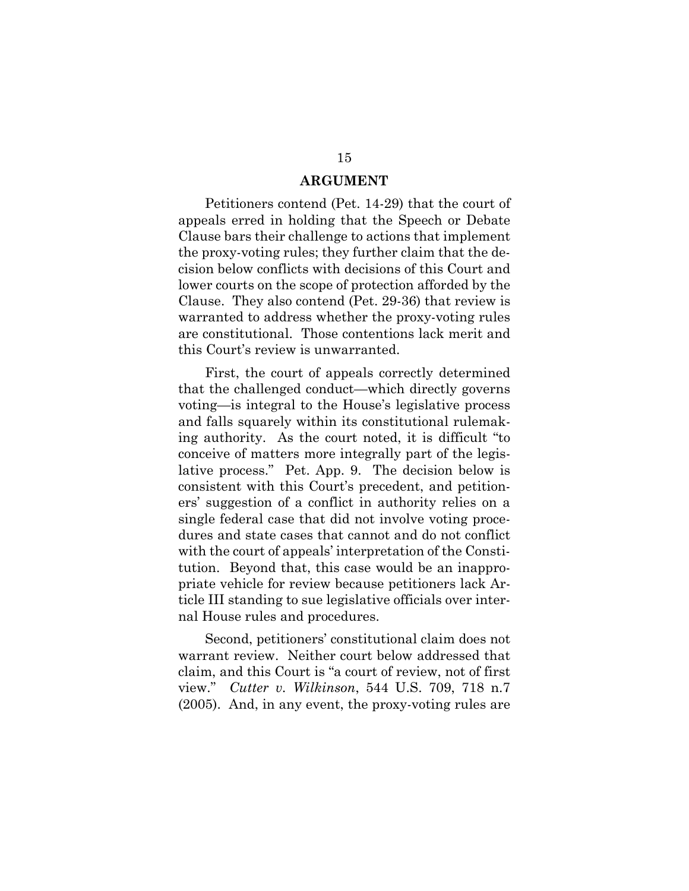#### **ARGUMENT**

Petitioners contend (Pet. 14-29) that the court of appeals erred in holding that the Speech or Debate Clause bars their challenge to actions that implement the proxy-voting rules; they further claim that the decision below conflicts with decisions of this Court and lower courts on the scope of protection afforded by the Clause. They also contend (Pet. 29-36) that review is warranted to address whether the proxy-voting rules are constitutional. Those contentions lack merit and this Court's review is unwarranted.

First, the court of appeals correctly determined that the challenged conduct—which directly governs voting—is integral to the House's legislative process and falls squarely within its constitutional rulemaking authority. As the court noted, it is difficult "to conceive of matters more integrally part of the legislative process." Pet. App. 9. The decision below is consistent with this Court's precedent, and petitioners' suggestion of a conflict in authority relies on a single federal case that did not involve voting procedures and state cases that cannot and do not conflict with the court of appeals' interpretation of the Constitution. Beyond that, this case would be an inappropriate vehicle for review because petitioners lack Article III standing to sue legislative officials over internal House rules and procedures.

Second, petitioners' constitutional claim does not warrant review. Neither court below addressed that claim, and this Court is "a court of review, not of first view." *Cutter v. Wilkinson*, 544 U.S. 709, 718 n.7 (2005). And, in any event, the proxy-voting rules are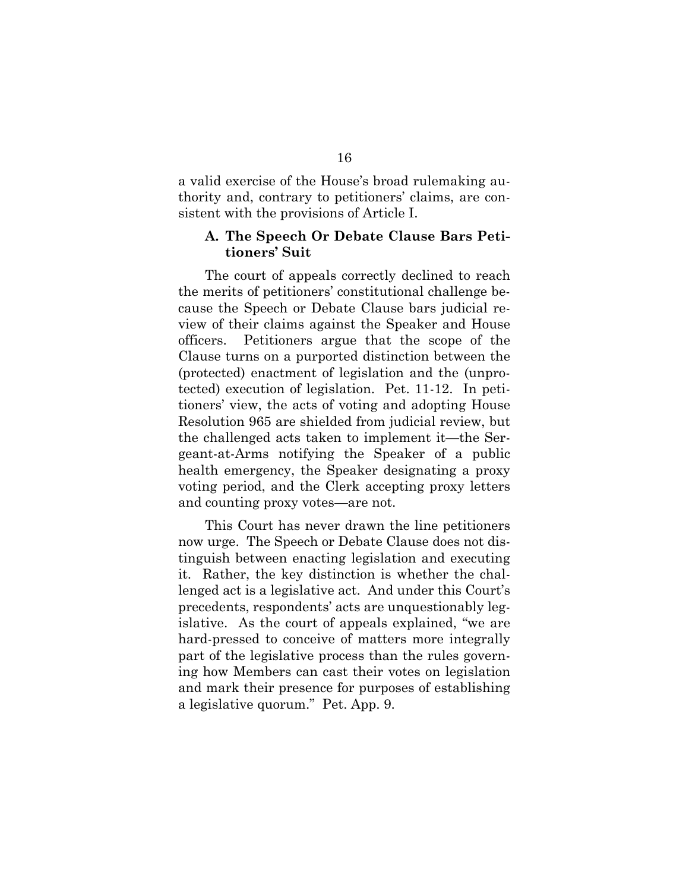a valid exercise of the House's broad rulemaking authority and, contrary to petitioners' claims, are consistent with the provisions of Article I.

#### **A. The Speech Or Debate Clause Bars Petitioners' Suit**

The court of appeals correctly declined to reach the merits of petitioners' constitutional challenge because the Speech or Debate Clause bars judicial review of their claims against the Speaker and House officers. Petitioners argue that the scope of the Clause turns on a purported distinction between the (protected) enactment of legislation and the (unprotected) execution of legislation. Pet. 11-12. In petitioners' view, the acts of voting and adopting House Resolution 965 are shielded from judicial review, but the challenged acts taken to implement it—the Sergeant-at-Arms notifying the Speaker of a public health emergency, the Speaker designating a proxy voting period, and the Clerk accepting proxy letters and counting proxy votes—are not.

This Court has never drawn the line petitioners now urge. The Speech or Debate Clause does not distinguish between enacting legislation and executing it. Rather, the key distinction is whether the challenged act is a legislative act. And under this Court's precedents, respondents' acts are unquestionably legislative. As the court of appeals explained, "we are hard-pressed to conceive of matters more integrally part of the legislative process than the rules governing how Members can cast their votes on legislation and mark their presence for purposes of establishing a legislative quorum." Pet. App. 9.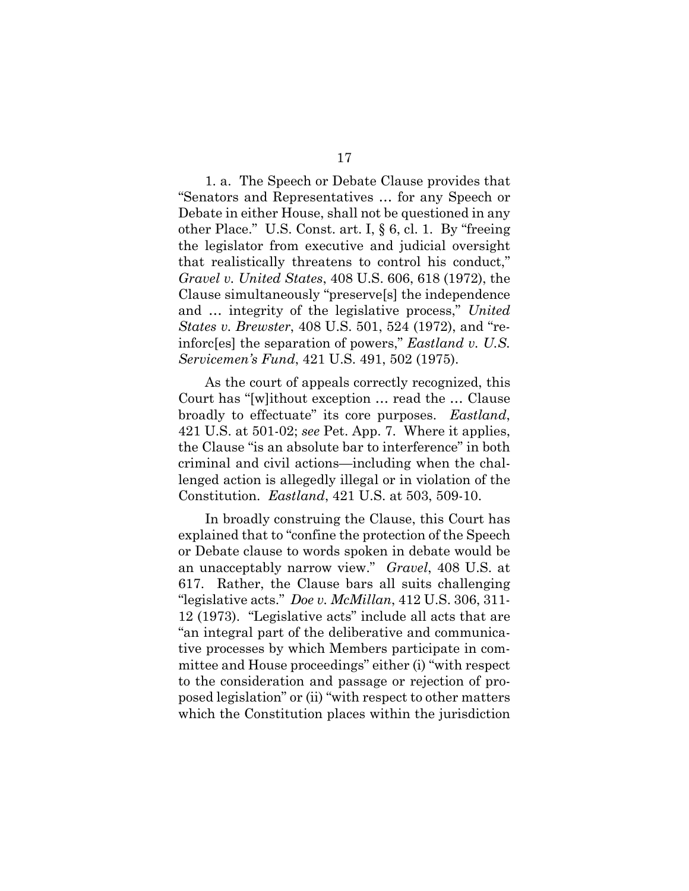1. a. The Speech or Debate Clause provides that "Senators and Representatives … for any Speech or Debate in either House, shall not be questioned in any other Place." U.S. Const. art. I, § 6, cl. 1. By "freeing the legislator from executive and judicial oversight that realistically threatens to control his conduct," *Gravel v. United States*, 408 U.S. 606, 618 (1972), the Clause simultaneously "preserve[s] the independence and … integrity of the legislative process," *United States v. Brewster*, 408 U.S. 501, 524 (1972), and "reinforc[es] the separation of powers," *Eastland v. U.S. Servicemen's Fund*, 421 U.S. 491, 502 (1975).

As the court of appeals correctly recognized, this Court has "[w]ithout exception … read the … Clause broadly to effectuate" its core purposes. *Eastland*, 421 U.S. at 501-02; *see* Pet. App. 7. Where it applies, the Clause "is an absolute bar to interference" in both criminal and civil actions—including when the challenged action is allegedly illegal or in violation of the Constitution. *Eastland*, 421 U.S. at 503, 509-10.

In broadly construing the Clause, this Court has explained that to "confine the protection of the Speech or Debate clause to words spoken in debate would be an unacceptably narrow view." *Gravel*, 408 U.S. at 617. Rather, the Clause bars all suits challenging "legislative acts." *Doe v. McMillan*, 412 U.S. 306, 311- 12 (1973). "Legislative acts" include all acts that are "an integral part of the deliberative and communicative processes by which Members participate in committee and House proceedings" either (i) "with respect to the consideration and passage or rejection of proposed legislation" or (ii) "with respect to other matters which the Constitution places within the jurisdiction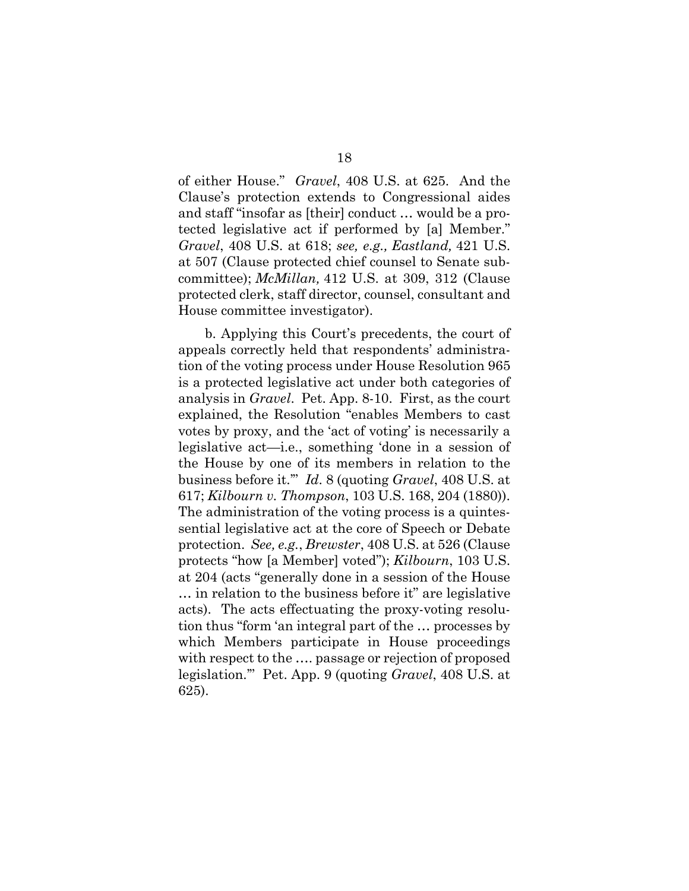of either House." *Gravel*, 408 U.S. at 625. And the Clause's protection extends to Congressional aides and staff "insofar as [their] conduct … would be a protected legislative act if performed by [a] Member." *Gravel*, 408 U.S. at 618; *see, e.g., Eastland,* 421 U.S. at 507 (Clause protected chief counsel to Senate subcommittee); *McMillan,* 412 U.S. at 309, 312 (Clause protected clerk, staff director, counsel, consultant and House committee investigator).

b. Applying this Court's precedents, the court of appeals correctly held that respondents' administration of the voting process under House Resolution 965 is a protected legislative act under both categories of analysis in *Gravel*. Pet. App. 8-10. First, as the court explained, the Resolution "enables Members to cast votes by proxy, and the 'act of voting' is necessarily a legislative act—i.e., something 'done in a session of the House by one of its members in relation to the business before it.'" *Id*. 8 (quoting *Gravel*, 408 U.S. at 617; *Kilbourn v. Thompson*, 103 U.S. 168, 204 (1880)). The administration of the voting process is a quintessential legislative act at the core of Speech or Debate protection. *See, e.g.*, *Brewster*, 408 U.S. at 526 (Clause protects "how [a Member] voted"); *Kilbourn*, 103 U.S. at 204 (acts "generally done in a session of the House … in relation to the business before it" are legislative acts). The acts effectuating the proxy-voting resolution thus "form 'an integral part of the … processes by which Members participate in House proceedings with respect to the …. passage or rejection of proposed legislation.'" Pet. App. 9 (quoting *Gravel*, 408 U.S. at 625).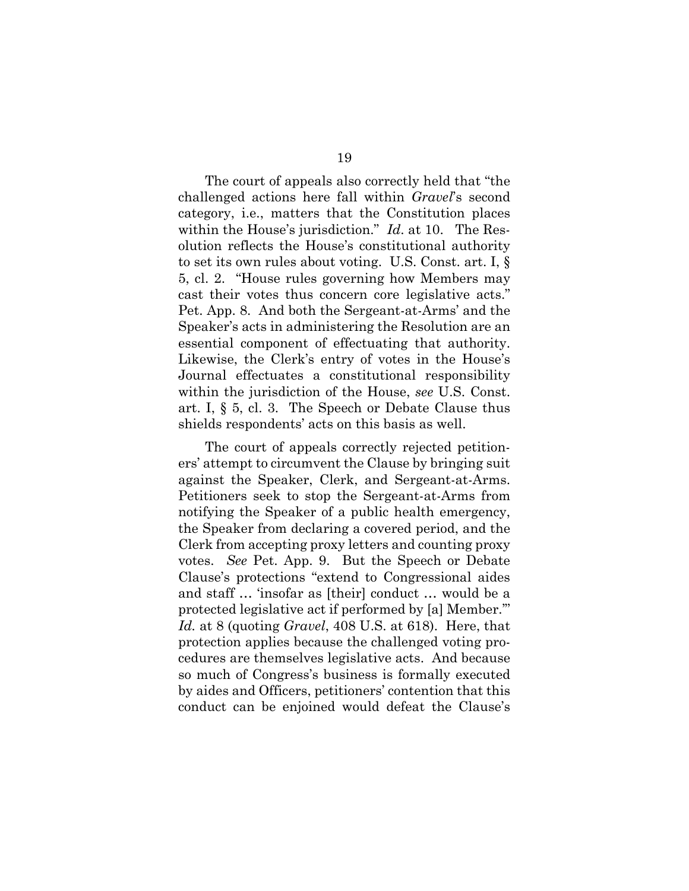The court of appeals also correctly held that "the challenged actions here fall within *Gravel*'s second category, i.e., matters that the Constitution places within the House's jurisdiction." *Id*. at 10. The Resolution reflects the House's constitutional authority to set its own rules about voting. U.S. Const. art. I, § 5, cl. 2. "House rules governing how Members may cast their votes thus concern core legislative acts." Pet. App. 8. And both the Sergeant-at-Arms' and the Speaker's acts in administering the Resolution are an essential component of effectuating that authority. Likewise, the Clerk's entry of votes in the House's Journal effectuates a constitutional responsibility within the jurisdiction of the House, *see* U.S. Const. art. I, § 5, cl. 3. The Speech or Debate Clause thus shields respondents' acts on this basis as well.

The court of appeals correctly rejected petitioners' attempt to circumvent the Clause by bringing suit against the Speaker, Clerk, and Sergeant-at-Arms. Petitioners seek to stop the Sergeant-at-Arms from notifying the Speaker of a public health emergency, the Speaker from declaring a covered period, and the Clerk from accepting proxy letters and counting proxy votes. *See* Pet. App. 9. But the Speech or Debate Clause's protections "extend to Congressional aides and staff … 'insofar as [their] conduct … would be a protected legislative act if performed by [a] Member.'" *Id.* at 8 (quoting *Gravel*, 408 U.S. at 618). Here, that protection applies because the challenged voting procedures are themselves legislative acts. And because so much of Congress's business is formally executed by aides and Officers, petitioners' contention that this conduct can be enjoined would defeat the Clause's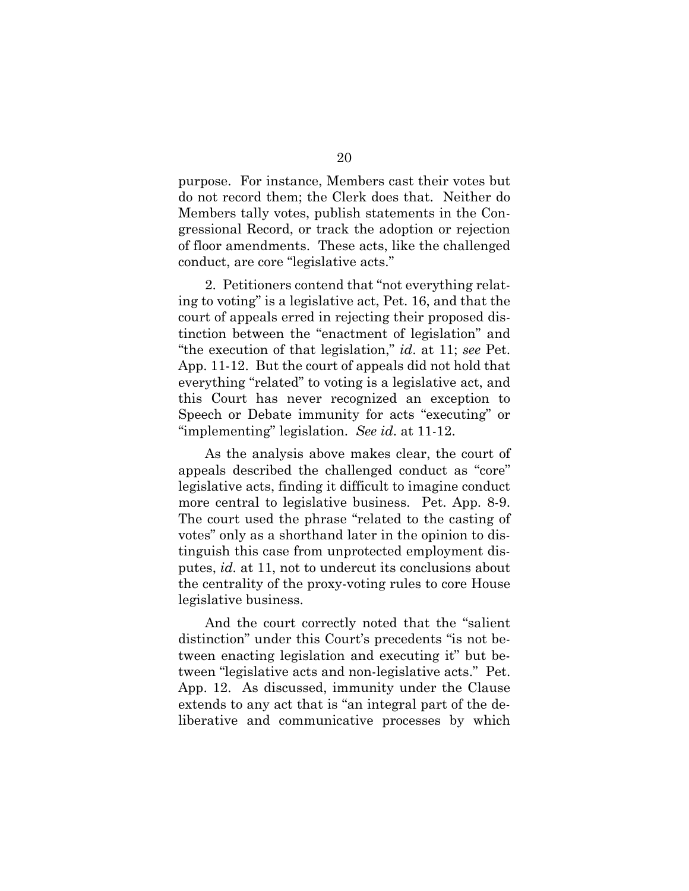purpose. For instance, Members cast their votes but do not record them; the Clerk does that. Neither do Members tally votes, publish statements in the Congressional Record, or track the adoption or rejection of floor amendments. These acts, like the challenged conduct, are core "legislative acts."

2. Petitioners contend that "not everything relating to voting" is a legislative act, Pet. 16, and that the court of appeals erred in rejecting their proposed distinction between the "enactment of legislation" and "the execution of that legislation," *id*. at 11; *see* Pet. App. 11-12. But the court of appeals did not hold that everything "related" to voting is a legislative act, and this Court has never recognized an exception to Speech or Debate immunity for acts "executing" or "implementing" legislation. *See id*. at 11-12.

As the analysis above makes clear, the court of appeals described the challenged conduct as "core" legislative acts, finding it difficult to imagine conduct more central to legislative business. Pet. App. 8-9. The court used the phrase "related to the casting of votes" only as a shorthand later in the opinion to distinguish this case from unprotected employment disputes, *id.* at 11, not to undercut its conclusions about the centrality of the proxy-voting rules to core House legislative business.

And the court correctly noted that the "salient distinction" under this Court's precedents "is not between enacting legislation and executing it" but between "legislative acts and non-legislative acts." Pet. App. 12. As discussed, immunity under the Clause extends to any act that is "an integral part of the deliberative and communicative processes by which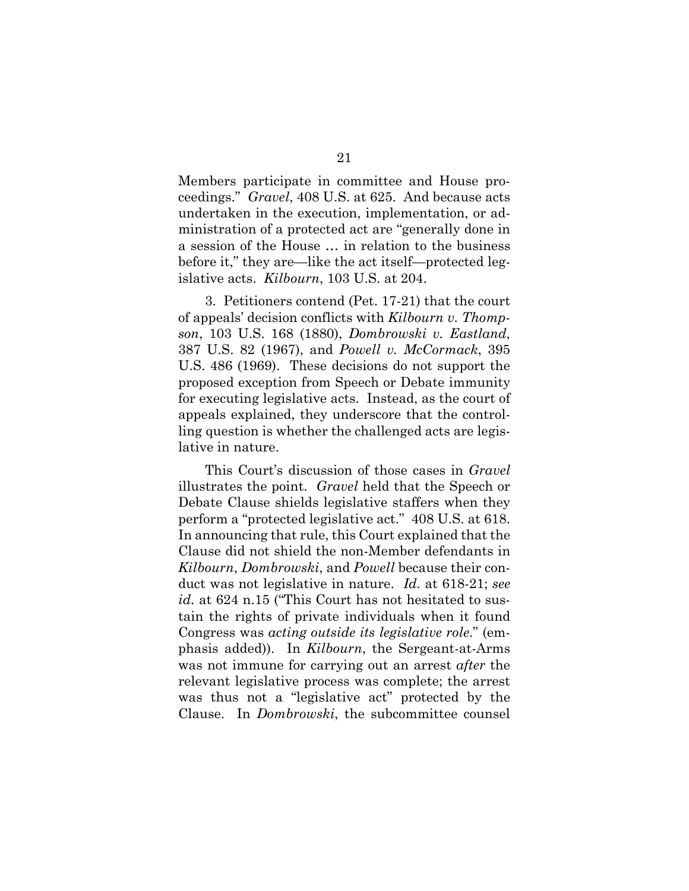Members participate in committee and House proceedings." *Gravel*, 408 U.S. at 625. And because acts undertaken in the execution, implementation, or administration of a protected act are "generally done in a session of the House … in relation to the business before it," they are—like the act itself—protected legislative acts. *Kilbourn*, 103 U.S. at 204.

3. Petitioners contend (Pet. 17-21) that the court of appeals' decision conflicts with *Kilbourn v. Thompson*, 103 U.S. 168 (1880), *Dombrowski v. Eastland*, 387 U.S. 82 (1967), and *Powell v. McCormack*, 395 U.S. 486 (1969). These decisions do not support the proposed exception from Speech or Debate immunity for executing legislative acts. Instead, as the court of appeals explained, they underscore that the controlling question is whether the challenged acts are legislative in nature.

This Court's discussion of those cases in *Gravel*  illustrates the point. *Gravel* held that the Speech or Debate Clause shields legislative staffers when they perform a "protected legislative act." 408 U.S. at 618. In announcing that rule, this Court explained that the Clause did not shield the non-Member defendants in *Kilbourn*, *Dombrowski*, and *Powell* because their conduct was not legislative in nature. *Id.* at 618-21; *see id.* at 624 n.15 ("This Court has not hesitated to sustain the rights of private individuals when it found Congress was *acting outside its legislative role*." (emphasis added)). In *Kilbourn*, the Sergeant-at-Arms was not immune for carrying out an arrest *after* the relevant legislative process was complete; the arrest was thus not a "legislative act" protected by the Clause. In *Dombrowski*, the subcommittee counsel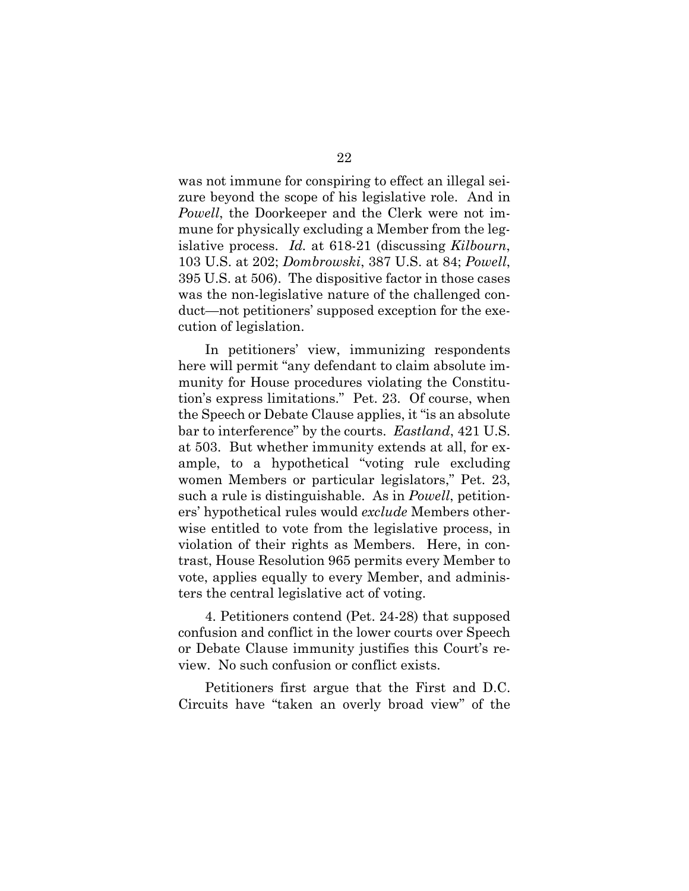was not immune for conspiring to effect an illegal seizure beyond the scope of his legislative role. And in *Powell*, the Doorkeeper and the Clerk were not immune for physically excluding a Member from the legislative process. *Id.* at 618-21 (discussing *Kilbourn*, 103 U.S. at 202; *Dombrowski*, 387 U.S. at 84; *Powell*, 395 U.S. at 506). The dispositive factor in those cases was the non-legislative nature of the challenged conduct—not petitioners' supposed exception for the execution of legislation.

In petitioners' view, immunizing respondents here will permit "any defendant to claim absolute immunity for House procedures violating the Constitution's express limitations." Pet. 23. Of course, when the Speech or Debate Clause applies, it "is an absolute bar to interference" by the courts. *Eastland*, 421 U.S. at 503. But whether immunity extends at all, for example, to a hypothetical "voting rule excluding women Members or particular legislators," Pet. 23, such a rule is distinguishable. As in *Powell*, petitioners' hypothetical rules would *exclude* Members otherwise entitled to vote from the legislative process, in violation of their rights as Members. Here, in contrast, House Resolution 965 permits every Member to vote, applies equally to every Member, and administers the central legislative act of voting.

4. Petitioners contend (Pet. 24-28) that supposed confusion and conflict in the lower courts over Speech or Debate Clause immunity justifies this Court's review. No such confusion or conflict exists.

Petitioners first argue that the First and D.C. Circuits have "taken an overly broad view" of the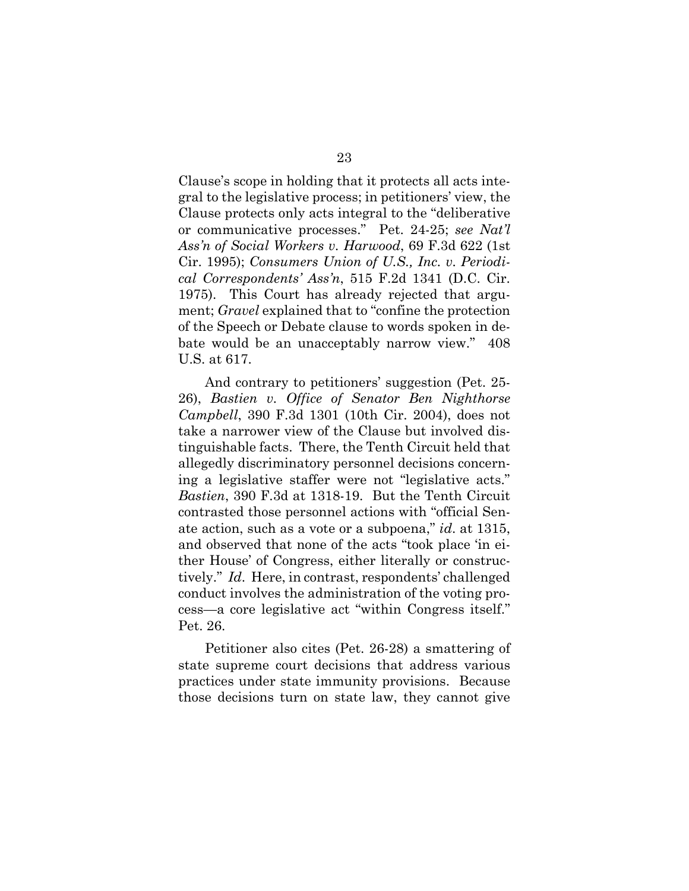Clause's scope in holding that it protects all acts integral to the legislative process; in petitioners' view, the Clause protects only acts integral to the "deliberative or communicative processes." Pet. 24-25; *see Nat'l Ass'n of Social Workers v. Harwood*, 69 F.3d 622 (1st Cir. 1995); *Consumers Union of U.S., Inc. v. Periodical Correspondents' Ass'n*, 515 F.2d 1341 (D.C. Cir. 1975). This Court has already rejected that argument; *Gravel* explained that to "confine the protection of the Speech or Debate clause to words spoken in debate would be an unacceptably narrow view." 408 U.S. at 617.

And contrary to petitioners' suggestion (Pet. 25- 26), *Bastien v. Office of Senator Ben Nighthorse Campbell*, 390 F.3d 1301 (10th Cir. 2004), does not take a narrower view of the Clause but involved distinguishable facts. There, the Tenth Circuit held that allegedly discriminatory personnel decisions concerning a legislative staffer were not "legislative acts." *Bastien*, 390 F.3d at 1318-19. But the Tenth Circuit contrasted those personnel actions with "official Senate action, such as a vote or a subpoena," *id*. at 1315, and observed that none of the acts "took place 'in either House' of Congress, either literally or constructively." *Id*. Here, in contrast, respondents' challenged conduct involves the administration of the voting process—a core legislative act "within Congress itself." Pet. 26.

Petitioner also cites (Pet. 26-28) a smattering of state supreme court decisions that address various practices under state immunity provisions. Because those decisions turn on state law, they cannot give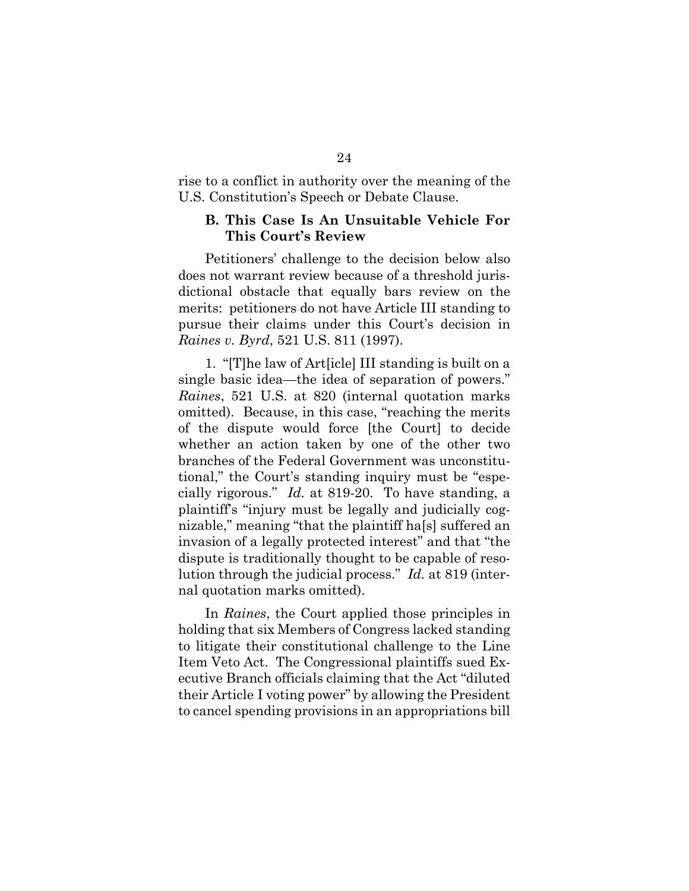rise to a conflict in authority over the meaning of the U.S. Constitution's Speech or Debate Clause.

#### **B. This Case Is An Unsuitable Vehicle For This Court's Review**

Petitioners' challenge to the decision below also does not warrant review because of a threshold jurisdictional obstacle that equally bars review on the merits: petitioners do not have Article III standing to pursue their claims under this Court's decision in *Raines v. Byrd*, 521 U.S. 811 (1997).

1. "[T]he law of Art[icle] III standing is built on a single basic idea—the idea of separation of powers." *Raines*, 521 U.S. at 820 (internal quotation marks omitted). Because, in this case, "reaching the merits of the dispute would force [the Court] to decide whether an action taken by one of the other two branches of the Federal Government was unconstitutional," the Court's standing inquiry must be "especially rigorous." *Id.* at 819-20. To have standing, a plaintiff's "injury must be legally and judicially cognizable," meaning "that the plaintiff ha[s] suffered an invasion of a legally protected interest" and that "the dispute is traditionally thought to be capable of resolution through the judicial process." *Id.* at 819 (internal quotation marks omitted).

In *Raines*, the Court applied those principles in holding that six Members of Congress lacked standing to litigate their constitutional challenge to the Line Item Veto Act. The Congressional plaintiffs sued Executive Branch officials claiming that the Act "diluted their Article I voting power" by allowing the President to cancel spending provisions in an appropriations bill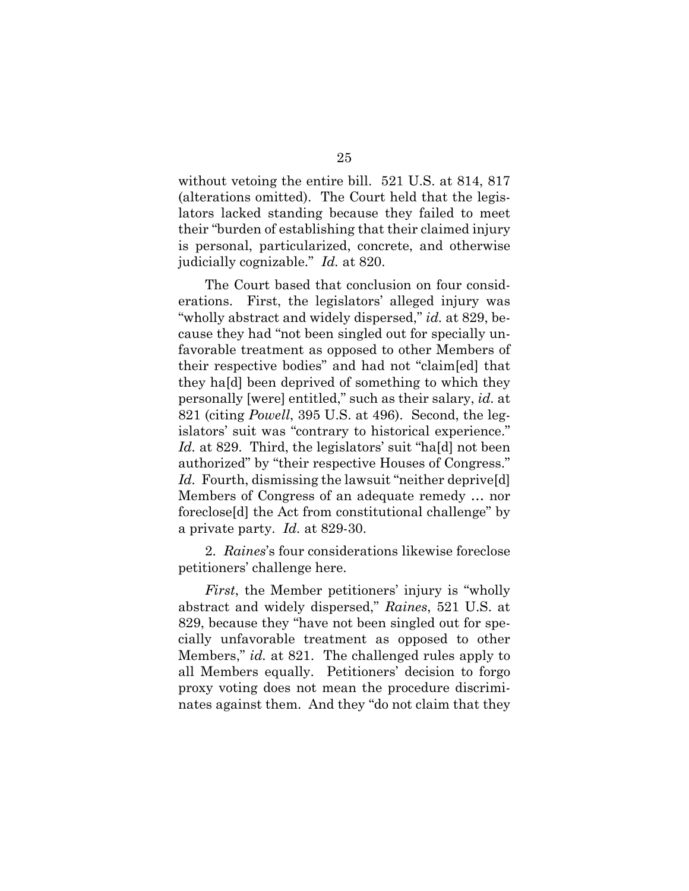without vetoing the entire bill. 521 U.S. at 814, 817 (alterations omitted). The Court held that the legislators lacked standing because they failed to meet their "burden of establishing that their claimed injury is personal, particularized, concrete, and otherwise judicially cognizable." *Id.* at 820.

The Court based that conclusion on four considerations. First, the legislators' alleged injury was "wholly abstract and widely dispersed," *id.* at 829, because they had "not been singled out for specially unfavorable treatment as opposed to other Members of their respective bodies" and had not "claim[ed] that they ha[d] been deprived of something to which they personally [were] entitled," such as their salary, *id.* at 821 (citing *Powell*, 395 U.S. at 496). Second, the legislators' suit was "contrary to historical experience." *Id.* at 829. Third, the legislators' suit "ha[d] not been authorized" by "their respective Houses of Congress." *Id.* Fourth, dismissing the lawsuit "neither deprive[d] Members of Congress of an adequate remedy … nor foreclose[d] the Act from constitutional challenge" by a private party. *Id.* at 829-30.

2. *Raines*'s four considerations likewise foreclose petitioners' challenge here.

*First*, the Member petitioners' injury is "wholly abstract and widely dispersed," *Raines*, 521 U.S. at 829, because they "have not been singled out for specially unfavorable treatment as opposed to other Members," *id.* at 821. The challenged rules apply to all Members equally. Petitioners' decision to forgo proxy voting does not mean the procedure discriminates against them. And they "do not claim that they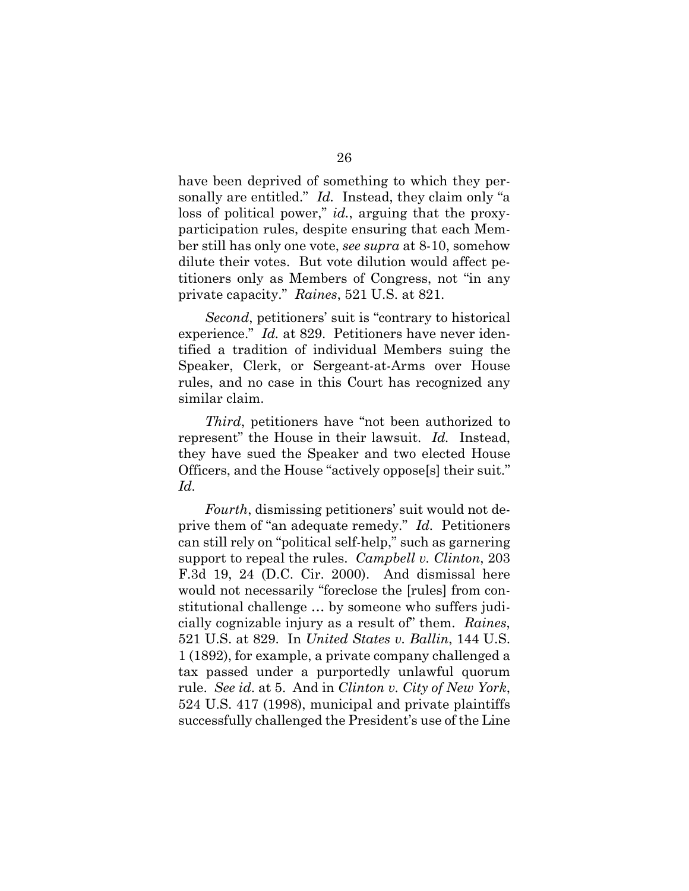have been deprived of something to which they personally are entitled." *Id.* Instead, they claim only "a loss of political power," *id.*, arguing that the proxyparticipation rules, despite ensuring that each Member still has only one vote, *see supra* at 8-10, somehow dilute their votes. But vote dilution would affect petitioners only as Members of Congress, not "in any private capacity." *Raines*, 521 U.S. at 821.

*Second*, petitioners' suit is "contrary to historical experience." *Id.* at 829. Petitioners have never identified a tradition of individual Members suing the Speaker, Clerk, or Sergeant-at-Arms over House rules, and no case in this Court has recognized any similar claim.

*Third*, petitioners have "not been authorized to represent" the House in their lawsuit. *Id.* Instead, they have sued the Speaker and two elected House Officers, and the House "actively oppose[s] their suit." *Id.*

*Fourth*, dismissing petitioners' suit would not deprive them of "an adequate remedy." *Id.* Petitioners can still rely on "political self-help," such as garnering support to repeal the rules. *Campbell v. Clinton*, 203 F.3d 19, 24 (D.C. Cir. 2000). And dismissal here would not necessarily "foreclose the [rules] from constitutional challenge … by someone who suffers judicially cognizable injury as a result of" them. *Raines*, 521 U.S. at 829. In *United States v. Ballin*, 144 U.S. 1 (1892), for example, a private company challenged a tax passed under a purportedly unlawful quorum rule. *See id*. at 5. And in *Clinton v. City of New York*, 524 U.S. 417 (1998), municipal and private plaintiffs successfully challenged the President's use of the Line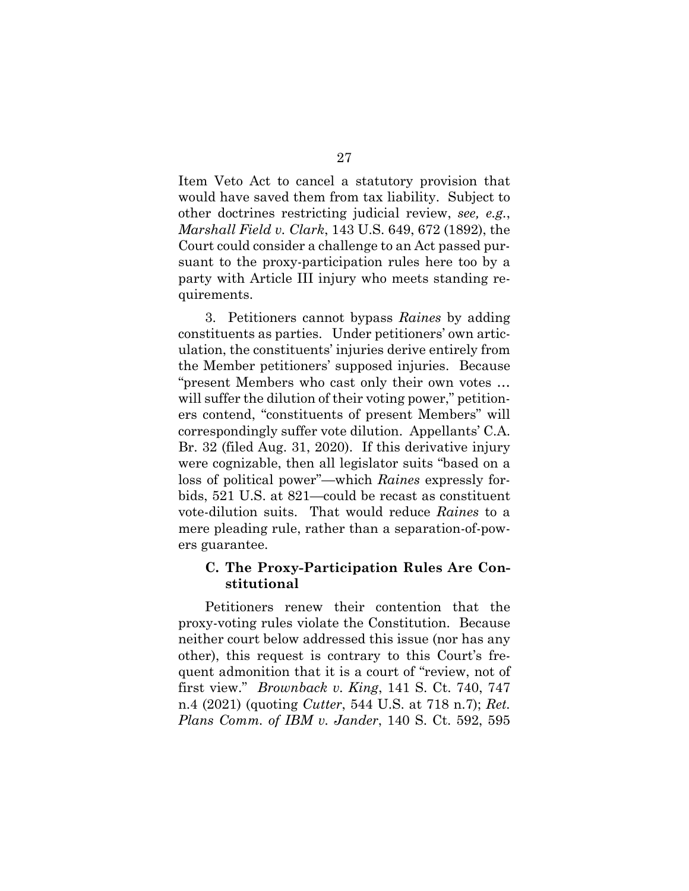Item Veto Act to cancel a statutory provision that would have saved them from tax liability. Subject to other doctrines restricting judicial review, *see, e.g.*, *Marshall Field v. Clark*, 143 U.S. 649, 672 (1892), the Court could consider a challenge to an Act passed pursuant to the proxy-participation rules here too by a party with Article III injury who meets standing requirements.

3. Petitioners cannot bypass *Raines* by adding constituents as parties. Under petitioners' own articulation, the constituents' injuries derive entirely from the Member petitioners' supposed injuries. Because "present Members who cast only their own votes … will suffer the dilution of their voting power," petitioners contend, "constituents of present Members" will correspondingly suffer vote dilution. Appellants' C.A. Br. 32 (filed Aug. 31, 2020). If this derivative injury were cognizable, then all legislator suits "based on a loss of political power"—which *Raines* expressly forbids, 521 U.S. at 821—could be recast as constituent vote-dilution suits. That would reduce *Raines* to a mere pleading rule, rather than a separation-of-powers guarantee.

#### **C. The Proxy-Participation Rules Are Constitutional**

Petitioners renew their contention that the proxy-voting rules violate the Constitution. Because neither court below addressed this issue (nor has any other), this request is contrary to this Court's frequent admonition that it is a court of "review, not of first view." *Brownback v. King*, 141 S. Ct. 740, 747 n.4 (2021) (quoting *Cutter*, 544 U.S. at 718 n.7); *Ret. Plans Comm. of IBM v. Jander*, 140 S. Ct. 592, 595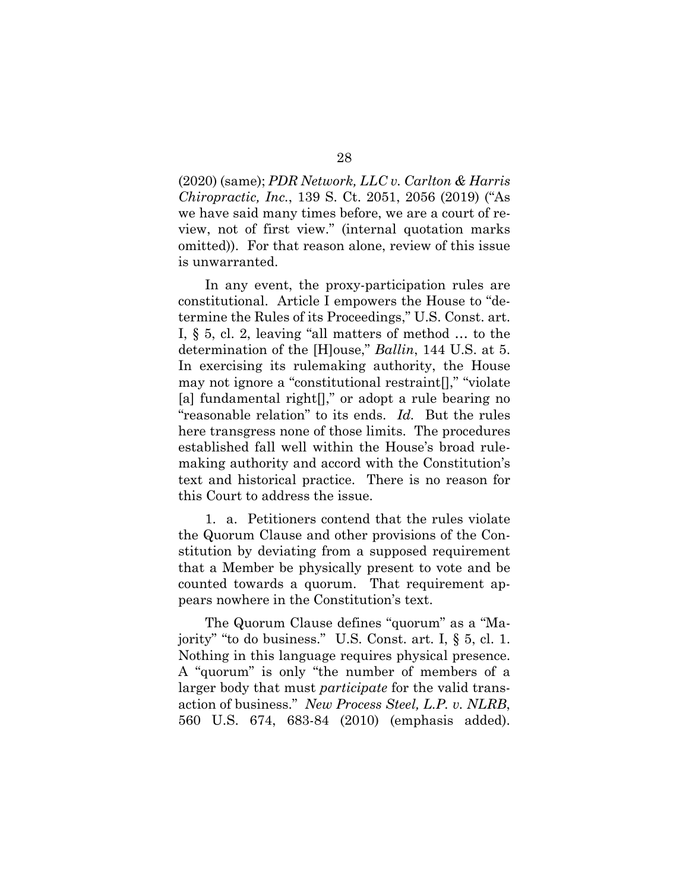(2020) (same); *PDR Network, LLC v. Carlton & Harris Chiropractic, Inc.*, 139 S. Ct. 2051, 2056 (2019) ("As we have said many times before, we are a court of review, not of first view." (internal quotation marks omitted)). For that reason alone, review of this issue is unwarranted.

In any event, the proxy-participation rules are constitutional. Article I empowers the House to "determine the Rules of its Proceedings," U.S. Const. art. I, § 5, cl. 2, leaving "all matters of method … to the determination of the [H]ouse," *Ballin*, 144 U.S. at 5. In exercising its rulemaking authority, the House may not ignore a "constitutional restraint[]," "violate [a] fundamental right<sup>[]</sup>," or adopt a rule bearing no "reasonable relation" to its ends. *Id.* But the rules here transgress none of those limits. The procedures established fall well within the House's broad rulemaking authority and accord with the Constitution's text and historical practice. There is no reason for this Court to address the issue.

1. a. Petitioners contend that the rules violate the Quorum Clause and other provisions of the Constitution by deviating from a supposed requirement that a Member be physically present to vote and be counted towards a quorum. That requirement appears nowhere in the Constitution's text.

The Quorum Clause defines "quorum" as a "Majority" "to do business." U.S. Const. art. I, § 5, cl. 1. Nothing in this language requires physical presence. A "quorum" is only "the number of members of a larger body that must *participate* for the valid transaction of business." *New Process Steel, L.P. v. NLRB*, 560 U.S. 674, 683-84 (2010) (emphasis added).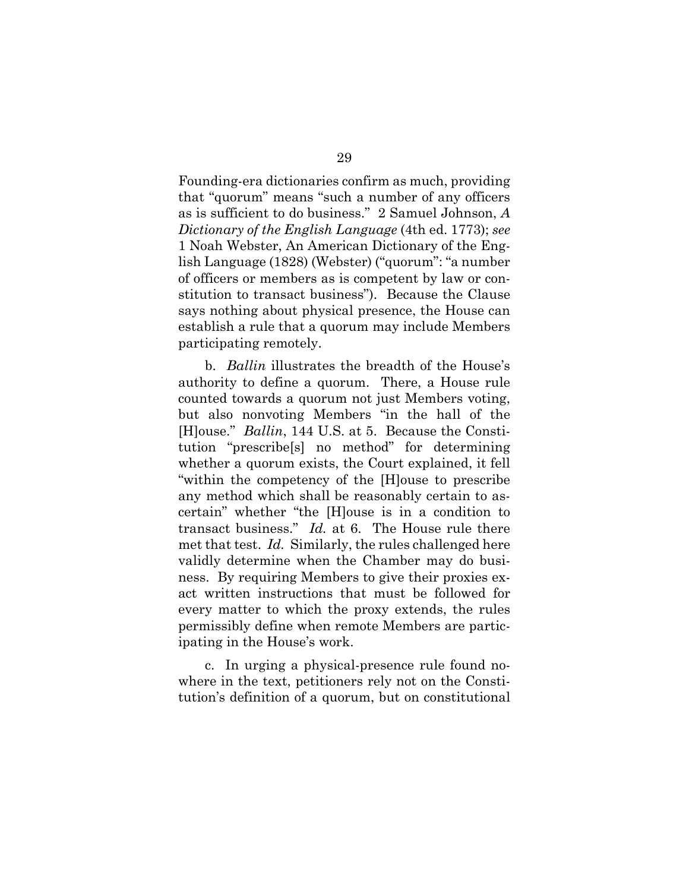Founding-era dictionaries confirm as much, providing that "quorum" means "such a number of any officers as is sufficient to do business." 2 Samuel Johnson, *A Dictionary of the English Language* (4th ed. 1773); *see* 1 Noah Webster, An American Dictionary of the English Language (1828) (Webster) ("quorum": "a number of officers or members as is competent by law or constitution to transact business"). Because the Clause says nothing about physical presence, the House can establish a rule that a quorum may include Members participating remotely.

b. *Ballin* illustrates the breadth of the House's authority to define a quorum. There, a House rule counted towards a quorum not just Members voting, but also nonvoting Members "in the hall of the [H]ouse." *Ballin*, 144 U.S. at 5. Because the Constitution "prescribe[s] no method" for determining whether a quorum exists, the Court explained, it fell "within the competency of the [H]ouse to prescribe any method which shall be reasonably certain to ascertain" whether "the [H]ouse is in a condition to transact business." *Id.* at 6. The House rule there met that test. *Id.* Similarly, the rules challenged here validly determine when the Chamber may do business. By requiring Members to give their proxies exact written instructions that must be followed for every matter to which the proxy extends, the rules permissibly define when remote Members are participating in the House's work.

c. In urging a physical-presence rule found nowhere in the text, petitioners rely not on the Constitution's definition of a quorum, but on constitutional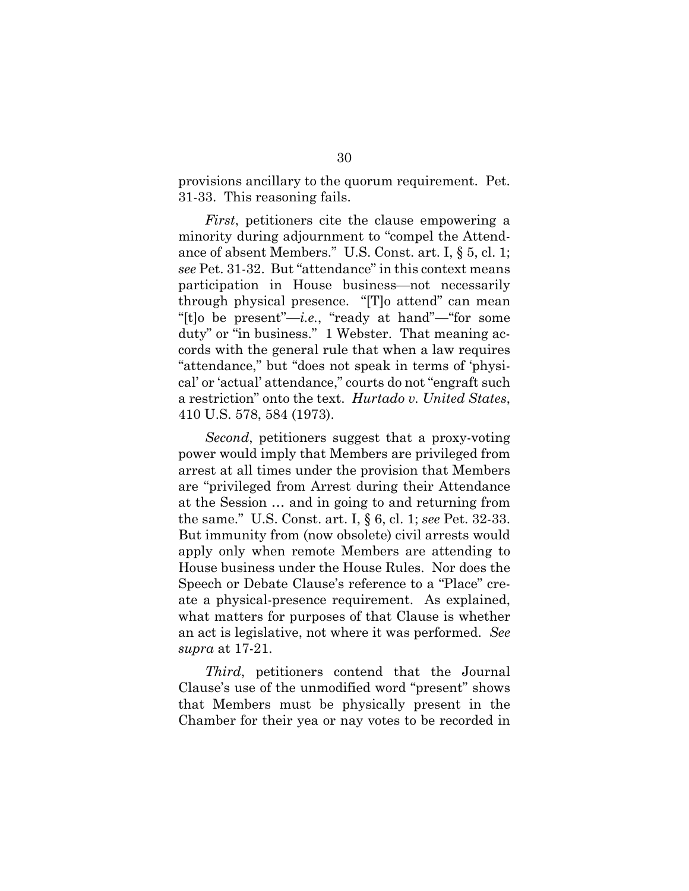provisions ancillary to the quorum requirement. Pet. 31-33. This reasoning fails.

*First*, petitioners cite the clause empowering a minority during adjournment to "compel the Attendance of absent Members." U.S. Const. art. I, § 5, cl. 1; *see* Pet. 31-32. But "attendance" in this context means participation in House business—not necessarily through physical presence. "[T]o attend" can mean "[t]o be present"—*i.e.*, "ready at hand"—"for some duty" or "in business." 1 Webster. That meaning accords with the general rule that when a law requires "attendance," but "does not speak in terms of 'physical' or 'actual' attendance," courts do not "engraft such a restriction" onto the text. *Hurtado v. United States*, 410 U.S. 578, 584 (1973).

*Second*, petitioners suggest that a proxy-voting power would imply that Members are privileged from arrest at all times under the provision that Members are "privileged from Arrest during their Attendance at the Session … and in going to and returning from the same." U.S. Const. art. I, § 6, cl. 1; *see* Pet. 32-33. But immunity from (now obsolete) civil arrests would apply only when remote Members are attending to House business under the House Rules. Nor does the Speech or Debate Clause's reference to a "Place" create a physical-presence requirement. As explained, what matters for purposes of that Clause is whether an act is legislative, not where it was performed. *See supra* at 17-21.

*Third*, petitioners contend that the Journal Clause's use of the unmodified word "present" shows that Members must be physically present in the Chamber for their yea or nay votes to be recorded in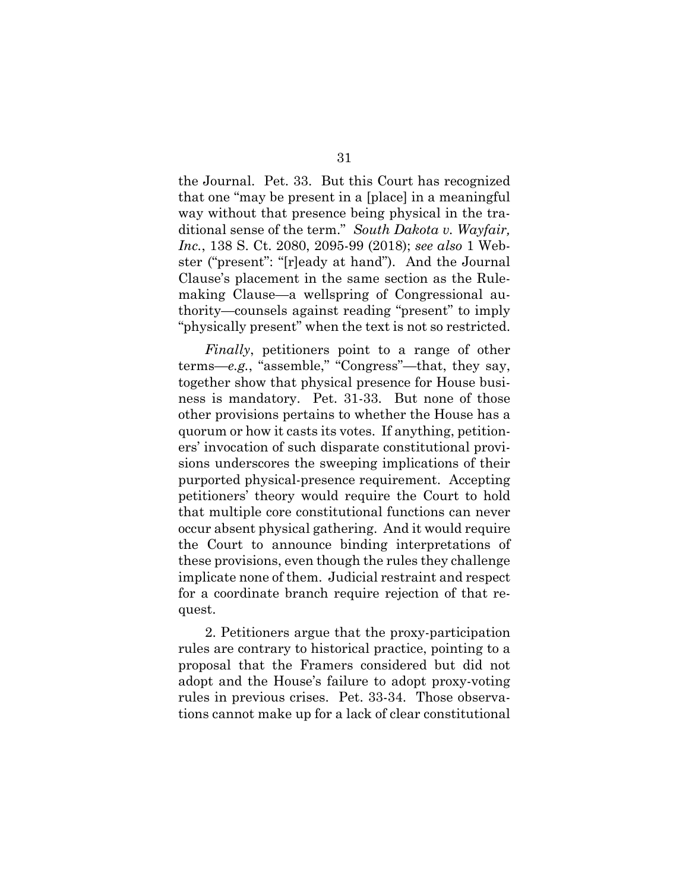the Journal. Pet. 33. But this Court has recognized that one "may be present in a [place] in a meaningful way without that presence being physical in the traditional sense of the term." *South Dakota v. Wayfair, Inc.*, 138 S. Ct. 2080, 2095-99 (2018); *see also* 1 Webster ("present": "[r]eady at hand"). And the Journal Clause's placement in the same section as the Rulemaking Clause—a wellspring of Congressional authority—counsels against reading "present" to imply "physically present" when the text is not so restricted.

*Finally*, petitioners point to a range of other terms—*e.g.*, "assemble," "Congress"—that, they say, together show that physical presence for House business is mandatory. Pet. 31-33. But none of those other provisions pertains to whether the House has a quorum or how it casts its votes. If anything, petitioners' invocation of such disparate constitutional provisions underscores the sweeping implications of their purported physical-presence requirement. Accepting petitioners' theory would require the Court to hold that multiple core constitutional functions can never occur absent physical gathering. And it would require the Court to announce binding interpretations of these provisions, even though the rules they challenge implicate none of them. Judicial restraint and respect for a coordinate branch require rejection of that request.

2. Petitioners argue that the proxy-participation rules are contrary to historical practice, pointing to a proposal that the Framers considered but did not adopt and the House's failure to adopt proxy-voting rules in previous crises. Pet. 33-34. Those observations cannot make up for a lack of clear constitutional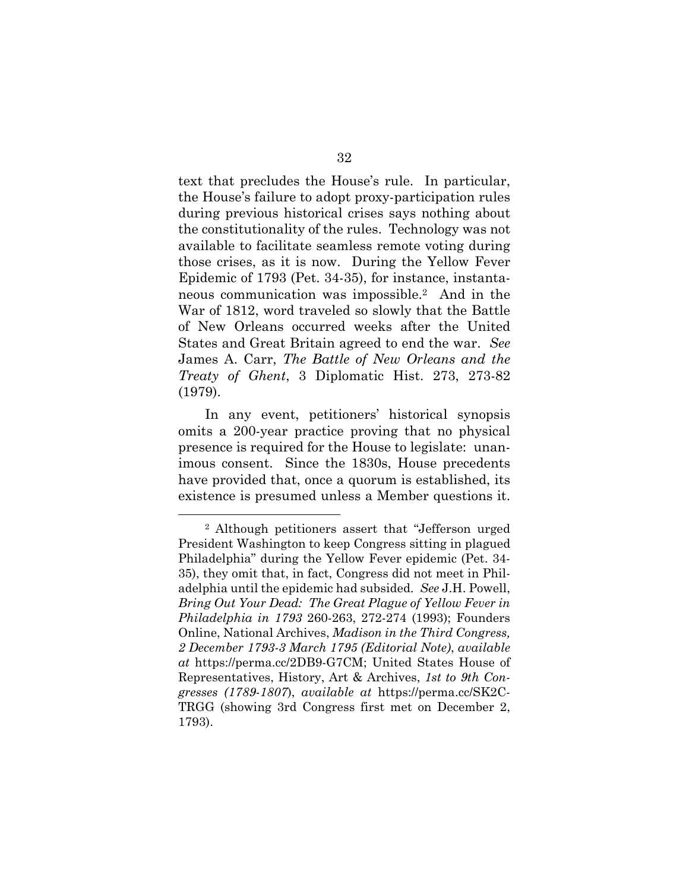text that precludes the House's rule. In particular, the House's failure to adopt proxy-participation rules during previous historical crises says nothing about the constitutionality of the rules. Technology was not available to facilitate seamless remote voting during those crises, as it is now. During the Yellow Fever Epidemic of 1793 (Pet. 34-35), for instance, instantaneous communication was impossible.2 And in the War of 1812, word traveled so slowly that the Battle of New Orleans occurred weeks after the United States and Great Britain agreed to end the war. *See* James A. Carr, *The Battle of New Orleans and the Treaty of Ghent*, 3 Diplomatic Hist. 273, 273-82 (1979).

In any event, petitioners' historical synopsis omits a 200-year practice proving that no physical presence is required for the House to legislate: unanimous consent. Since the 1830s, House precedents have provided that, once a quorum is established, its existence is presumed unless a Member questions it.

<sup>2</sup> Although petitioners assert that "Jefferson urged President Washington to keep Congress sitting in plagued Philadelphia" during the Yellow Fever epidemic (Pet. 34- 35), they omit that, in fact, Congress did not meet in Philadelphia until the epidemic had subsided. *See* J.H. Powell, *Bring Out Your Dead: The Great Plague of Yellow Fever in Philadelphia in 1793* 260-263, 272-274 (1993); Founders Online, National Archives, *Madison in the Third Congress, 2 December 1793-3 March 1795 (Editorial Note)*, *available at* https://perma.cc/2DB9-G7CM; United States House of Representatives, History, Art & Archives, *1st to 9th Congresses (1789-1807*), *available at* https://perma.cc/SK2C-TRGG (showing 3rd Congress first met on December 2, 1793).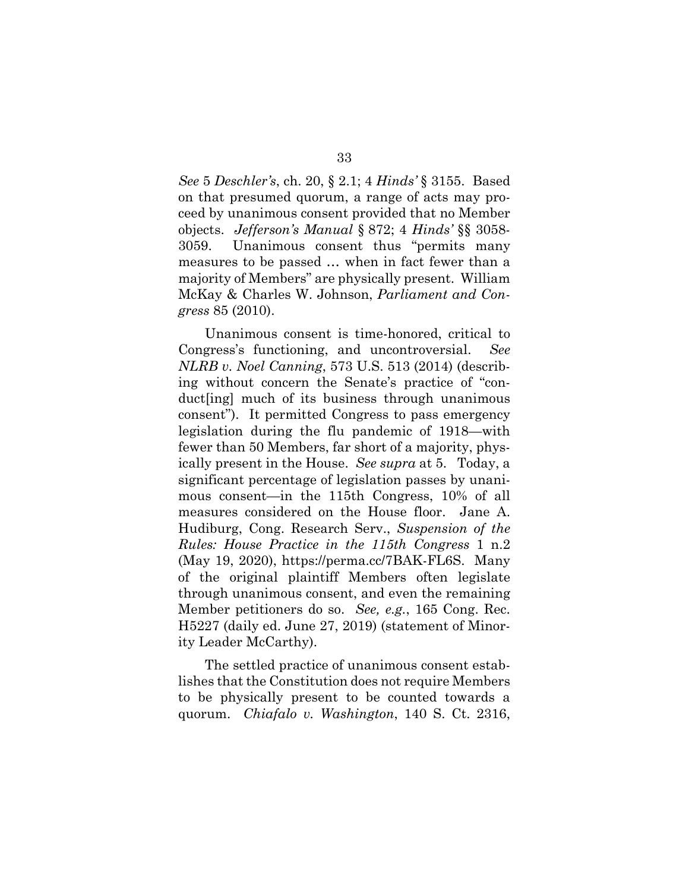*See* 5 *Deschler's*, ch. 20, § 2.1; 4 *Hinds'* § 3155. Based on that presumed quorum, a range of acts may proceed by unanimous consent provided that no Member objects. *Jefferson's Manual* § 872; 4 *Hinds'* §§ 3058- 3059. Unanimous consent thus "permits many measures to be passed … when in fact fewer than a majority of Members" are physically present. William McKay & Charles W. Johnson, *Parliament and Congress* 85 (2010).

Unanimous consent is time-honored, critical to Congress's functioning, and uncontroversial. *See NLRB v. Noel Canning*, 573 U.S. 513 (2014) (describing without concern the Senate's practice of "conduct[ing] much of its business through unanimous consent"). It permitted Congress to pass emergency legislation during the flu pandemic of 1918—with fewer than 50 Members, far short of a majority, physically present in the House. *See supra* at 5. Today, a significant percentage of legislation passes by unanimous consent—in the 115th Congress, 10% of all measures considered on the House floor. Jane A. Hudiburg, Cong. Research Serv., *Suspension of the Rules: House Practice in the 115th Congress* 1 n.2 (May 19, 2020), https://perma.cc/7BAK-FL6S. Many of the original plaintiff Members often legislate through unanimous consent, and even the remaining Member petitioners do so. *See, e.g.*, 165 Cong. Rec. H5227 (daily ed. June 27, 2019) (statement of Minority Leader McCarthy).

The settled practice of unanimous consent establishes that the Constitution does not require Members to be physically present to be counted towards a quorum. *Chiafalo v. Washington*, 140 S. Ct. 2316,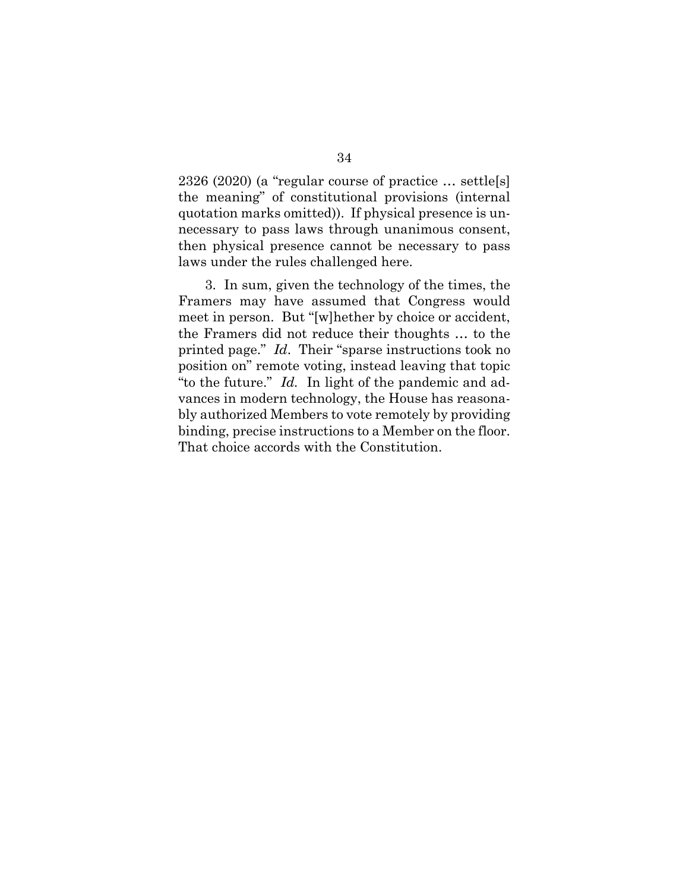2326 (2020) (a "regular course of practice … settle[s] the meaning" of constitutional provisions (internal quotation marks omitted)). If physical presence is unnecessary to pass laws through unanimous consent, then physical presence cannot be necessary to pass laws under the rules challenged here.

3. In sum, given the technology of the times, the Framers may have assumed that Congress would meet in person. But "[w]hether by choice or accident, the Framers did not reduce their thoughts … to the printed page." *Id*. Their "sparse instructions took no position on" remote voting, instead leaving that topic "to the future." *Id.* In light of the pandemic and advances in modern technology, the House has reasonably authorized Members to vote remotely by providing binding, precise instructions to a Member on the floor. That choice accords with the Constitution.